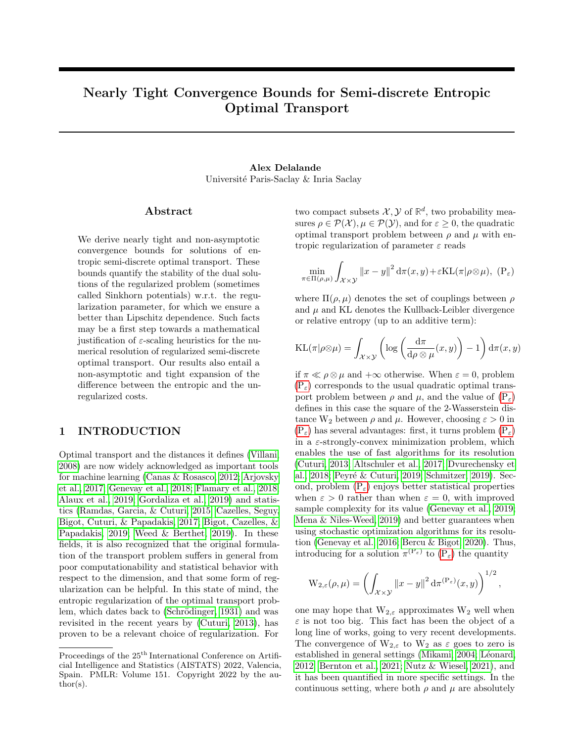# Nearly Tight Convergence Bounds for Semi-discrete Entropic Optimal Transport

# Alex Delalande Université Paris-Saclay & Inria Saclay

## Abstract

We derive nearly tight and non-asymptotic convergence bounds for solutions of entropic semi-discrete optimal transport. These bounds quantify the stability of the dual solutions of the regularized problem (sometimes called Sinkhorn potentials) w.r.t. the regularization parameter, for which we ensure a better than Lipschitz dependence. Such facts may be a first step towards a mathematical justification of  $\varepsilon$ -scaling heuristics for the numerical resolution of regularized semi-discrete optimal transport. Our results also entail a non-asymptotic and tight expansion of the difference between the entropic and the unregularized costs.

## 1 INTRODUCTION

Optimal transport and the distances it defines [\(Villani,](#page-10-0) [2008\)](#page-10-0) are now widely acknowledged as important tools for machine learning [\(Canas & Rosasco, 2012;](#page-9-0) [Arjovsky](#page-8-0) [et al., 2017;](#page-8-0) [Genevay et al., 2018;](#page-10-1) [Flamary et al., 2018;](#page-9-1) [Alaux et al., 2019;](#page-8-1) [Gordaliza et al., 2019\)](#page-10-2) and statistics [\(Ramdas, Garcia, & Cuturi, 2015;](#page-10-3) [Cazelles, Seguy,](#page-9-2) [Bigot, Cuturi, & Papadakis, 2017;](#page-9-2) [Bigot, Cazelles, &](#page-8-2) [Papadakis, 2019;](#page-8-2) [Weed & Berthet, 2019\)](#page-11-0). In these fields, it is also recognized that the original formulation of the transport problem suffers in general from poor computationability and statistical behavior with respect to the dimension, and that some form of regularization can be helpful. In this state of mind, the entropic regularization of the optimal transport problem, which dates back to (Schrödinger, 1931) and was revisited in the recent years by [\(Cuturi, 2013\)](#page-9-3), has proven to be a relevant choice of regularization. For

two compact subsets  $\mathcal{X}, \mathcal{Y}$  of  $\mathbb{R}^d$ , two probability measures  $\rho \in \mathcal{P}(\mathcal{X}), \mu \in \mathcal{P}(\mathcal{Y})$ , and for  $\varepsilon \geq 0$ , the quadratic optimal transport problem between  $\rho$  and  $\mu$  with entropic regularization of parameter  $\varepsilon$  reads

<span id="page-0-0"></span>
$$
\min_{\pi \in \Pi(\rho,\mu)} \int_{\mathcal{X} \times \mathcal{Y}} ||x - y||^2 d\pi(x,y) + \varepsilon \mathrm{KL}(\pi | \rho \otimes \mu), \, (\mathrm{P}_{\varepsilon})
$$

where  $\Pi(\rho,\mu)$  denotes the set of couplings between  $\rho$ and  $\mu$  and KL denotes the Kullback-Leibler divergence or relative entropy (up to an additive term):

$$
KL(\pi | \rho \otimes \mu) = \int_{\mathcal{X} \times \mathcal{Y}} \left( \log \left( \frac{d\pi}{d\rho \otimes \mu} (x, y) \right) - 1 \right) d\pi(x, y)
$$

if  $\pi \ll \rho \otimes \mu$  and  $+\infty$  otherwise. When  $\varepsilon = 0$ , problem  $(P_{\varepsilon})$  $(P_{\varepsilon})$  corresponds to the usual quadratic optimal transport problem between  $\rho$  and  $\mu$ , and the value of  $(P_{\varepsilon})$  $(P_{\varepsilon})$ defines in this case the square of the 2-Wasserstein distance  $W_2$  between  $\rho$  and  $\mu$ . However, choosing  $\varepsilon > 0$  in  $(P_{\varepsilon})$  $(P_{\varepsilon})$  has several advantages: first, it turns problem  $(P_{\varepsilon})$ in a  $\varepsilon$ -strongly-convex minimization problem, which enables the use of fast algorithms for its resolution [\(Cuturi, 2013;](#page-9-3) [Altschuler et al., 2017;](#page-8-3) [Dvurechensky et](#page-9-4) [al., 2018;](#page-9-4) Peyré & Cuturi, 2019; [Schmitzer, 2019\)](#page-10-6). Second, problem  $(P_{\varepsilon})$  $(P_{\varepsilon})$  enjoys better statistical properties when  $\varepsilon > 0$  rather than when  $\varepsilon = 0$ , with improved sample complexity for its value [\(Genevay et al., 2019;](#page-9-5) [Mena & Niles-Weed, 2019\)](#page-10-7) and better guarantees when using stochastic optimization algorithms for its resolution [\(Genevay et al., 2016;](#page-9-6) [Bercu & Bigot, 2020\)](#page-8-4). Thus, introducing for a solution  $\pi^{(P_{\varepsilon})}$  $\pi^{(P_{\varepsilon})}$  $\pi^{(P_{\varepsilon})}$  to  $(P_{\varepsilon})$  the quantity

$$
\mathrm{W}_{2,\varepsilon}(\rho,\mu)=\left(\int_{\mathcal{X}\times\mathcal{Y}}\left\|x-y\right\|^2\mathrm{d}\pi^{(\mathrm{P}_{\varepsilon})}(x,y)\right)^{1/2},\,
$$

one may hope that  $W_{2,\varepsilon}$  approximates  $W_2$  well when  $\varepsilon$  is not too big. This fact has been the object of a long line of works, going to very recent developments. The convergence of  $W_{2,\varepsilon}$  to  $W_2$  as  $\varepsilon$  goes to zero is established in general settings [\(Mikami, 2004;](#page-10-8) Léonard, [2012;](#page-10-9) [Bernton et al., 2021;](#page-8-5) [Nutz & Wiesel, 2021\)](#page-10-10), and it has been quantified in more specific settings. In the continuous setting, where both  $\rho$  and  $\mu$  are absolutely

Proceedings of the  $25<sup>th</sup>$  International Conference on Artificial Intelligence and Statistics (AISTATS) 2022, Valencia, Spain. PMLR: Volume 151. Copyright 2022 by the au- $\text{thor}(s)$ .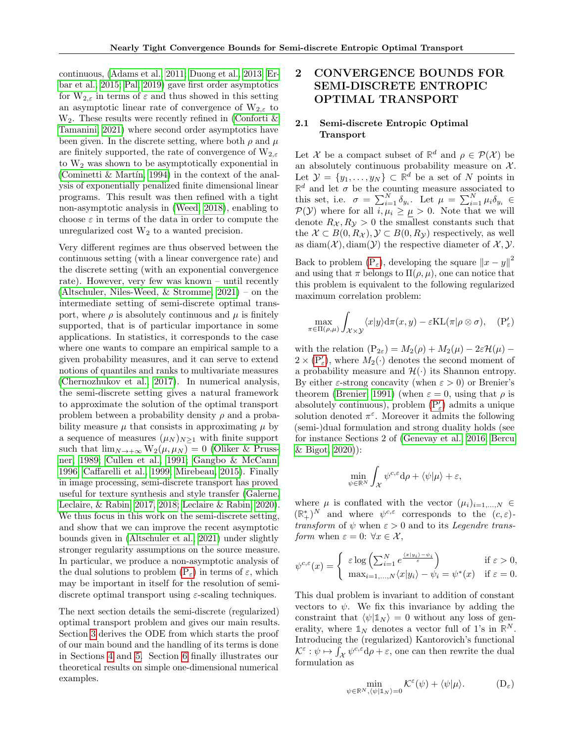continuous, [\(Adams et al., 2011;](#page-8-6) [Duong et al., 2013;](#page-9-7) [Er](#page-9-8)[bar et al., 2015;](#page-9-8) [Pal, 2019\)](#page-10-11) gave first order asymptotics for  $W_{2,\varepsilon}$  in terms of  $\varepsilon$  and thus showed in this setting an asymptotic linear rate of convergence of  $W_{2,\varepsilon}$  to  $W_2$ . These results were recently refined in (Conforti  $\&$ [Tamanini, 2021\)](#page-9-9) where second order asymptotics have been given. In the discrete setting, where both  $\rho$  and  $\mu$ are finitely supported, the rate of convergence of  $W_{2,\varepsilon}$ to  $W_2$  was shown to be asymptotically exponential in (Cominetti  $\&$  Martin, 1994) in the context of the analysis of exponentially penalized finite dimensional linear programs. This result was then refined with a tight non-asymptotic analysis in [\(Weed, 2018\)](#page-11-1), enabling to choose  $\varepsilon$  in terms of the data in order to compute the unregularized cost  $W_2$  to a wanted precision.

Very different regimes are thus observed between the continuous setting (with a linear convergence rate) and the discrete setting (with an exponential convergence rate). However, very few was known – until recently [\(Altschuler, Niles-Weed, & Stromme, 2021\)](#page-8-7) – on the intermediate setting of semi-discrete optimal transport, where  $\rho$  is absolutely continuous and  $\mu$  is finitely supported, that is of particular importance in some applications. In statistics, it corresponds to the case where one wants to compare an empirical sample to a given probability measures, and it can serve to extend notions of quantiles and ranks to multivariate measures [\(Chernozhukov et al., 2017\)](#page-9-11). In numerical analysis, the semi-discrete setting gives a natural framework to approximate the solution of the optimal transport problem between a probability density  $\rho$  and a probability measure  $\mu$  that consists in approximating  $\mu$  by a sequence of measures  $(\mu_N)_{N>1}$  with finite support such that  $\lim_{N\to+\infty}W_2(\mu,\mu_N)=0$  [\(Oliker & Pruss](#page-10-12)[ner, 1989;](#page-10-12) [Cullen et al., 1991;](#page-9-12) [Gangbo & McCann,](#page-9-13) [1996;](#page-9-13) [Caffarelli et al., 1999;](#page-9-14) [Mirebeau, 2015\)](#page-10-13). Finally in image processing, semi-discrete transport has proved useful for texture synthesis and style transfer [\(Galerne,](#page-9-15) [Leclaire, & Rabin, 2017,](#page-9-15) [2018;](#page-9-16) [Leclaire & Rabin, 2020\)](#page-10-14). We thus focus in this work on the semi-discrete setting, and show that we can improve the recent asymptotic bounds given in [\(Altschuler et al., 2021\)](#page-8-7) under slightly stronger regularity assumptions on the source measure. In particular, we produce a non-asymptotic analysis of the dual solutions to problem  $(P_{\varepsilon})$  $(P_{\varepsilon})$  in terms of  $\varepsilon$ , which may be important in itself for the resolution of semidiscrete optimal transport using  $\varepsilon$ -scaling techniques.

The next section details the semi-discrete (regularized) optimal transport problem and gives our main results. Section [3](#page-4-0) derives the ODE from which starts the proof of our main bound and the handling of its terms is done in Sections [4](#page-5-0) and [5.](#page-6-0) Section [6](#page-7-0) finally illustrates our theoretical results on simple one-dimensional numerical examples.

# 2 CONVERGENCE BOUNDS FOR SEMI-DISCRETE ENTROPIC OPTIMAL TRANSPORT

## 2.1 Semi-discrete Entropic Optimal Transport

Let X be a compact subset of  $\mathbb{R}^d$  and  $\rho \in \mathcal{P}(\mathcal{X})$  be an absolutely continuous probability measure on  $X$ . Let  $\mathcal{Y} = \{y_1, \ldots, y_N\} \subset \mathbb{R}^d$  be a set of N points in  $\mathbb{R}^d$  and let  $\sigma$  be the counting measure associated to this set, i.e.  $\sigma = \sum_{i=1}^{N} \delta_{y_i}$ . Let  $\mu = \sum_{i=1}^{N} \mu_i \delta_{y_i} \in$  $P(Y)$  where for all  $i, \mu_i \geq \mu > 0$ . Note that we will denote  $R_{\mathcal{X}}$ ,  $R_{\mathcal{V}} > 0$  the smallest constants such that the  $\mathcal{X} \subset B(0,R_{\mathcal{X}}), \mathcal{Y} \subset B(0,R_{\mathcal{Y}})$  respectively, as well as diam( $\mathcal{X}$ ), diam( $\mathcal{Y}$ ) the respective diameter of  $\mathcal{X}, \mathcal{Y}$ .

Back to problem  $(P_{\varepsilon})$  $(P_{\varepsilon})$ , developing the square  $||x - y||^2$ and using that  $\pi$  belongs to  $\Pi(\rho,\mu)$ , one can notice that this problem is equivalent to the following regularized maximum correlation problem:

<span id="page-1-2"></span><span id="page-1-0"></span>
$$
\max_{\pi \in \Pi(\rho,\mu)} \int_{\mathcal{X} \times \mathcal{Y}} \langle x | y \rangle d\pi(x,y) - \varepsilon \mathrm{KL}(\pi | \rho \otimes \sigma), \quad (\mathrm{P}'_{\varepsilon})
$$

with the relation  $(P_{2\varepsilon}) = M_2(\rho) + M_2(\mu) - 2\varepsilon \mathcal{H}(\mu)$  –  $2 \times (\mathbb{P}'_{\varepsilon})$ , where  $M_2(\cdot)$  denotes the second moment of a probability measure and  $\mathcal{H}(\cdot)$  its Shannon entropy. By either  $\varepsilon$ -strong concavity (when  $\varepsilon > 0$ ) or Brenier's theorem [\(Brenier, 1991\)](#page-8-8) (when  $\varepsilon = 0$ , using that  $\rho$  is absolutely continuous), problem  $({\rm P}_\varepsilon')$  admits a unique solution denoted  $\pi^{\varepsilon}$ . Moreover it admits the following (semi-)dual formulation and strong duality holds (see for instance Sections 2 of [\(Genevay et al., 2016;](#page-9-6) [Bercu](#page-8-4) [& Bigot, 2020\)](#page-8-4)):

$$
\min_{\psi \in \mathbb{R}^N} \int_{\mathcal{X}} \psi^{c,\varepsilon} \mathrm{d}\rho + \langle \psi | \mu \rangle + \varepsilon,
$$

where  $\mu$  is conflated with the vector  $(\mu_i)_{i=1,\dots,N} \in$  $(\mathbb{R}^*_+)^N$  and where  $\psi^{c,\varepsilon}$  corresponds to the  $(c,\varepsilon)$ transform of  $\psi$  when  $\varepsilon > 0$  and to its *Legendre trans*form when  $\varepsilon = 0$ :  $\forall x \in \mathcal{X}$ ,

$$
\psi^{c,\varepsilon}(x) = \begin{cases} \varepsilon \log\left(\sum_{i=1}^N e^{\frac{\langle x|y_i\rangle - \psi_i}{\varepsilon}}\right) & \text{if } \varepsilon > 0, \\ \max_{i=1,\dots,N} \langle x|y_i\rangle - \psi_i = \psi^*(x) & \text{if } \varepsilon = 0. \end{cases}
$$

This dual problem is invariant to addition of constant vectors to  $\psi$ . We fix this invariance by adding the constraint that  $\langle \psi | \mathbb{1}_N \rangle = 0$  without any loss of generality, where  $\mathbb{1}_N$  denotes a vector full of 1's in  $\mathbb{R}^N$ . Introducing the (regularized) Kantorovich's functional  $\mathcal{K}^{\varepsilon} : \psi \mapsto \int_{\mathcal{X}} \psi^{c,\varepsilon} d\rho + \varepsilon$ , one can then rewrite the dual formulation as

<span id="page-1-1"></span>
$$
\min_{\psi \in \mathbb{R}^N, \langle \psi | \mathbb{1}_N \rangle = 0} \mathcal{K}^{\varepsilon}(\psi) + \langle \psi | \mu \rangle.
$$
 (D<sub>\varepsilon</sub>)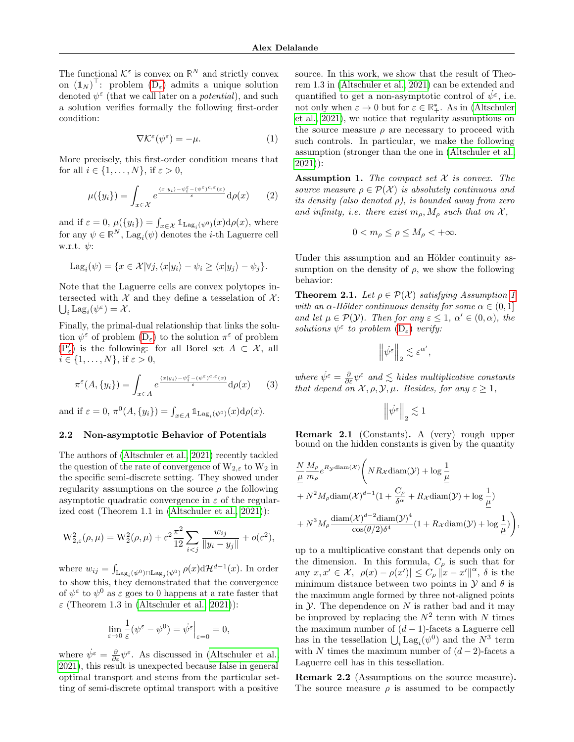The functional  $\mathcal{K}^{\varepsilon}$  is convex on  $\mathbb{R}^{N}$  and strictly convex on  $(\mathbb{1}_N)^{\top}$ : problem  $(D_{\varepsilon})$  $(D_{\varepsilon})$  admits a unique solution denoted  $\psi^{\varepsilon}$  (that we call later on a *potential*), and such a solution verifies formally the following first-order condition:

$$
\nabla \mathcal{K}^{\varepsilon}(\psi^{\varepsilon}) = -\mu. \tag{1}
$$

More precisely, this first-order condition means that for all  $i \in \{1, \ldots, N\}$ , if  $\varepsilon > 0$ ,

$$
\mu(\{y_i\}) = \int_{x \in \mathcal{X}} e^{\frac{\langle x | y_i \rangle - \psi_i^{\varepsilon} - (\psi^{\varepsilon})^{c, \varepsilon}(x)}{\varepsilon}} d\rho(x) \qquad (2)
$$

and if  $\varepsilon = 0$ ,  $\mu({y_i}) = \int_{x \in \mathcal{X}} \mathbb{1}_{\text{Lag}_i(\psi^0)}(x) d\rho(x)$ , where for any  $\psi \in \mathbb{R}^N$ ,  $\text{Lag}_i(\psi)$  denotes the *i*-th Laguerre cell w.r.t.  $\psi$ :

$$
Lag_i(\psi) = \{ x \in \mathcal{X} | \forall j, \langle x | y_i \rangle - \psi_i \ge \langle x | y_j \rangle - \psi_j \}.
$$

Note that the Laguerre cells are convex polytopes intersected with  $\mathcal X$  and they define a tesselation of  $\mathcal X$ :  $\bigcup_i \mathrm{Lag}_i(\psi^{\varepsilon}) = \mathcal{X}.$ 

Finally, the primal-dual relationship that links the solution  $\psi^{\varepsilon}$  of problem  $(D_{\varepsilon})$  $(D_{\varepsilon})$  to the solution  $\pi^{\varepsilon}$  of problem  $(P'_\varepsilon)$  $(P'_\varepsilon)$  is the following: for all Borel set  $A \subset \mathcal{X}$ , all  $i \in \{1, \ldots, N\}, \text{ if } \varepsilon > 0,$ 

$$
\pi^{\varepsilon}(A, \{y_i\}) = \int_{x \in A} e^{\frac{\langle x | y_i \rangle - \psi_i^{\varepsilon} - (\psi^{\varepsilon})^{c, \varepsilon}(x)}{\varepsilon}} d\rho(x) \qquad (3)
$$

and if  $\varepsilon = 0$ ,  $\pi^0(A, \{y_i\}) = \int_{x \in A} \mathbb{1}_{\text{Lag}_i(\psi^0)}(x) d\rho(x)$ .

### 2.2 Non-asymptotic Behavior of Potentials

The authors of [\(Altschuler et al., 2021\)](#page-8-7) recently tackled the question of the rate of convergence of  $W_{2,\varepsilon}$  to  $W_2$  in the specific semi-discrete setting. They showed under regularity assumptions on the source  $\rho$  the following asymptotic quadratic convergence in  $\varepsilon$  of the regularized cost (Theorem 1.1 in [\(Altschuler et al., 2021\)](#page-8-7)):

$$
W_{2,\varepsilon}^{2}(\rho,\mu) = W_{2}^{2}(\rho,\mu) + \varepsilon^{2} \frac{\pi^{2}}{12} \sum_{i < j} \frac{w_{ij}}{\|y_{i} - y_{j}\|} + o(\varepsilon^{2}),
$$

where  $w_{ij} = \int_{\text{Lag}_i(\psi^0) \cap \text{Lag}_j(\psi^0)} \rho(x) d\mathcal{H}^{d-1}(x)$ . In order to show this, they demonstrated that the convergence of  $\psi^{\varepsilon}$  to  $\psi^0$  as  $\varepsilon$  goes to 0 happens at a rate faster that  $\varepsilon$  (Theorem 1.3 in [\(Altschuler et al., 2021\)](#page-8-7)):

$$
\lim_{\varepsilon \to 0} \frac{1}{\varepsilon} (\psi^{\varepsilon} - \psi^0) = \dot{\psi^{\varepsilon}} \Big|_{\varepsilon = 0} = 0,
$$

where  $\psi^{\varepsilon} = \frac{\partial}{\partial \varepsilon} \psi^{\varepsilon}$ . As discussed in [\(Altschuler et al.,](#page-8-7) [2021\)](#page-8-7), this result is unexpected because false in general optimal transport and stems from the particular setting of semi-discrete optimal transport with a positive

source. In this work, we show that the result of Theorem 1.3 in [\(Altschuler et al., 2021\)](#page-8-7) can be extended and quantified to get a non-asymptotic control of  $\dot{\psi}^{\varepsilon}$ , i.e. not only when  $\varepsilon \to 0$  but for  $\varepsilon \in \mathbb{R}^*_+$ . As in [\(Altschuler](#page-8-7) [et al., 2021\)](#page-8-7), we notice that regularity assumptions on the source measure  $\rho$  are necessary to proceed with such controls. In particular, we make the following assumption (stronger than the one in [\(Altschuler et al.,](#page-8-7) [2021\)](#page-8-7)):

<span id="page-2-2"></span><span id="page-2-0"></span>**Assumption 1.** The compact set  $X$  is convex. The source measure  $\rho \in \mathcal{P}(\mathcal{X})$  is absolutely continuous and its density (also denoted  $\rho$ ), is bounded away from zero and infinity, i.e. there exist  $m_{\rho}$ ,  $M_{\rho}$  such that on  $\mathcal{X}$ ,

$$
0 < m_\rho \le \rho \le M_\rho < +\infty.
$$

Under this assumption and an Hölder continuity assumption on the density of  $\rho$ , we show the following behavior:

<span id="page-2-1"></span>**Theorem 2.1.** Let  $\rho \in \mathcal{P}(\mathcal{X})$  satisfying Assumption [1](#page-2-0) with an  $\alpha$ -Hölder continuous density for some  $\alpha \in (0,1]$ and let  $\mu \in \mathcal{P}(\mathcal{Y})$ . Then for any  $\varepsilon \leq 1, \ \alpha' \in (0, \alpha)$ , the solutions  $\psi^{\varepsilon}$  to problem  $(D_{\varepsilon})$  $(D_{\varepsilon})$  verify:

$$
\left\|\dot{\psi^{\varepsilon}}\right\|_2 \lesssim \varepsilon^{\alpha'},
$$

where  $\dot{\psi}^{\varepsilon} = \frac{\partial}{\partial \varepsilon} \psi^{\varepsilon}$  and  $\lesssim$  hides multiplicative constants that depend on  $\mathcal{X}, \rho, \mathcal{Y}, \mu$ . Besides, for any  $\varepsilon \geq 1$ ,

$$
\left\|\dot{\psi^\varepsilon}\right\|_2\lesssim 1
$$

Remark 2.1 (Constants). A (very) rough upper bound on the hidden constants is given by the quantity

$$
\frac{N}{\mu} \frac{M_{\rho}}{m_{\rho}} e^{R_{\mathcal{Y}} \text{diam}(\mathcal{X})} \left( NR_{\mathcal{X}} \text{diam}(\mathcal{Y}) + \log \frac{1}{\mu} \right. \n+ N^2 M_{\rho} \text{diam}(\mathcal{X})^{d-1} \left(1 + \frac{C_{\rho}}{\delta^{\alpha}} + R_{\mathcal{X}} \text{diam}(\mathcal{Y}) + \log \frac{1}{\mu}\right) \n+ N^3 M_{\rho} \frac{\text{diam}(\mathcal{X})^{d-2} \text{diam}(\mathcal{Y})^4}{\cos(\theta/2)\delta^4} \left(1 + R_{\mathcal{X}} \text{diam}(\mathcal{Y}) + \log \frac{1}{\mu}\right),
$$

up to a multiplicative constant that depends only on the dimension. In this formula,  $C_{\rho}$  is such that for any  $x, x' \in \mathcal{X}$ ,  $|\rho(x) - \rho(x')| \leq C_{\rho} ||x - x'||^{\alpha}$ ,  $\delta$  is the minimum distance between two points in  $\mathcal Y$  and  $\theta$  is the maximum angle formed by three not-aligned points in  $\mathcal Y$ . The dependence on N is rather bad and it may be improved by replacing the  $N^2$  term with N times the maximum number of  $(d-1)$ -facets a Laguerre cell has in the tessellation  $\bigcup_i \text{Lag}_i(\psi^0)$  and the  $N^3$  term with N times the maximum number of  $(d-2)$ -facets a Laguerre cell has in this tessellation.

Remark 2.2 (Assumptions on the source measure). The source measure  $\rho$  is assumed to be compactly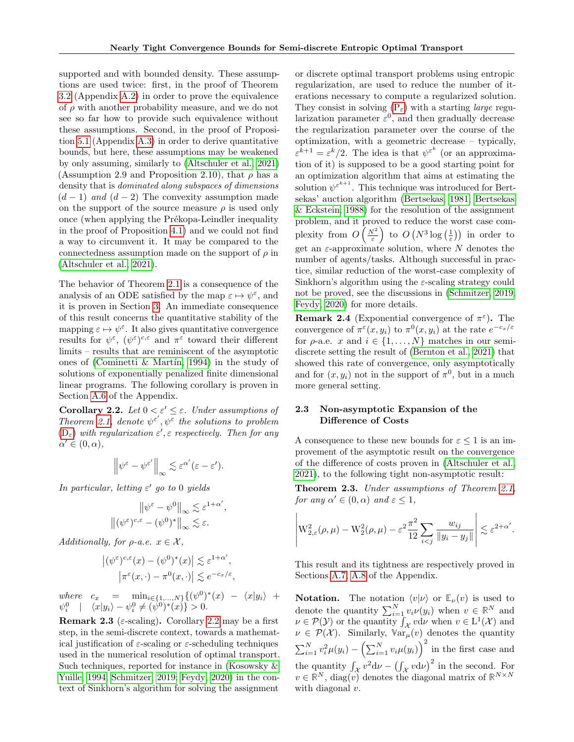supported and with bounded density. These assumptions are used twice: first, in the proof of Theorem [3.2](#page-4-1) (Appendix [A.2\)](#page-12-0) in order to prove the equivalence of  $\rho$  with another probability measure, and we do not see so far how to provide such equivalence without these assumptions. Second, in the proof of Proposition [5.1](#page-6-1) (Appendix [A.3\)](#page-13-0) in order to derive quantitative bounds, but here, these assumptions may be weakened by only assuming, similarly to [\(Altschuler et al., 2021\)](#page-8-7) (Assumption 2.9 and Proposition 2.10), that  $\rho$  has a density that is dominated along subspaces of dimensions  $(d-1)$  and  $(d-2)$  The convexity assumption made on the support of the source measure  $\rho$  is used only once (when applying the Prékopa-Leindler inequality in the proof of Proposition [4.1\)](#page-5-1) and we could not find a way to circumvent it. It may be compared to the connectedness assumption made on the support of  $\rho$  in [\(Altschuler et al., 2021\)](#page-8-7).

The behavior of Theorem [2.1](#page-2-1) is a consequence of the analysis of an ODE satisfied by the map  $\varepsilon \mapsto \psi^{\varepsilon}$ , and it is proven in Section [3.](#page-4-0) An immediate consequence of this result concerns the quantitative stability of the mapping  $\varepsilon \mapsto \psi^{\varepsilon}$ . It also gives quantitative convergence results for  $\psi^{\varepsilon}$ ,  $(\psi^{\varepsilon})^{c,\varepsilon}$  and  $\pi^{\varepsilon}$  toward their different limits – results that are reminiscent of the asymptotic ones of (Cominetti & Martín, 1994) in the study of solutions of exponentially penalized finite dimensional linear programs. The following corollary is proven in Section [A.6](#page-18-0) of the Appendix.

<span id="page-3-0"></span>Corollary 2.2. Let  $0 < \varepsilon' \leq \varepsilon$ . Under assumptions of Theorem [2.1,](#page-2-1) denote  $\psi^{\varepsilon'}$ ,  $\psi^{\overline{\varepsilon}}$  the solutions to problem  $(D_{\varepsilon})$  $(D_{\varepsilon})$  with regularization  $\varepsilon', \varepsilon$  respectively. Then for any  $\alpha' \in (0, \alpha),$ 

$$
\left\|\psi^{\varepsilon}-\psi^{\varepsilon'}\right\|_{\infty}\lesssim \varepsilon^{\alpha'}(\varepsilon-\varepsilon').
$$

In particular, letting  $\varepsilon'$  go to 0 yields

$$
\|\psi^{\varepsilon} - \psi^0\|_{\infty} \lesssim \varepsilon^{1+\alpha'},
$$

$$
\|(\psi^{\varepsilon})^{c,\varepsilon} - (\psi^0)^*\|_{\infty} \lesssim \varepsilon.
$$

Additionally, for  $\rho$ -a.e.  $x \in \mathcal{X}$ ,

$$
\left| (\psi^{\varepsilon})^{c,\varepsilon}(x) - (\psi^0)^*(x) \right| \lesssim \varepsilon^{1+\alpha'},
$$
  

$$
\left| \pi^{\varepsilon}(x,\cdot) - \pi^0(x,\cdot) \right| \lesssim e^{-c_x/\varepsilon}
$$

,

where  $c_x = \min_{i \in \{1, ..., N\}} \{ (\psi^0)^*(x) - \langle x | y_i \rangle +$  $\psi_i^0$  |  $\langle x|y_i\rangle - \psi_i^0 \neq (\psi^0)^*(x) > 0.$ 

**Remark 2.3** ( $\varepsilon$ -scaling). Corollary [2.2](#page-3-0) may be a first step, in the semi-discrete context, towards a mathematical justification of  $\varepsilon$ -scaling or  $\varepsilon$ -scheduling techniques used in the numerical resolution of optimal transport. Such techniques, reported for instance in [\(Kosowsky &](#page-10-15) [Yuille, 1994;](#page-10-15) [Schmitzer, 2019;](#page-10-6) [Feydy, 2020\)](#page-9-17) in the context of Sinkhorn's algorithm for solving the assignment or discrete optimal transport problems using entropic regularization, are used to reduce the number of iterations necessary to compute a regularized solution. They consist in solving  $(P_{\varepsilon})$  $(P_{\varepsilon})$  with a starting *large* regularization parameter  $\varepsilon^0$ , and then gradually decrease the regularization parameter over the course of the optimization, with a geometric decrease – typically,  $\varepsilon^{k+1} = \varepsilon^k/2$ . The idea is that  $\psi^{\varepsilon^k}$  (or an approximation of it) is supposed to be a good starting point for an optimization algorithm that aims at estimating the solution  $\psi^{\varepsilon^{k+1}}$ . This technique was introduced for Bertsekas' auction algorithm [\(Bertsekas, 1981;](#page-8-9) [Bertsekas](#page-8-10) [& Eckstein, 1988\)](#page-8-10) for the resolution of the assignment problem, and it proved to reduce the worst case complexity from  $O\left(\frac{N^2}{\varepsilon}\right)$  to  $O\left(N^3\log\left(\frac{1}{\varepsilon}\right)\right)$  in order to get an  $\varepsilon$ -approximate solution, where N denotes the number of agents/tasks. Although successful in practice, similar reduction of the worst-case complexity of Sinkhorn's algorithm using the  $\varepsilon$ -scaling strategy could not be proved, see the discussions in [\(Schmitzer, 2019;](#page-10-6) [Feydy, 2020\)](#page-9-17) for more details.

**Remark 2.4** (Exponential convergence of  $\pi^{\varepsilon}$ ). The convergence of  $\pi^{\varepsilon}(x, y_i)$  to  $\pi^0(x, y_i)$  at the rate  $e^{-c_x/\varepsilon}$ for  $\rho$ -a.e. x and  $i \in \{1, ..., N\}$  matches in our semidiscrete setting the result of [\(Bernton et al., 2021\)](#page-8-5) that showed this rate of convergence, only asymptotically and for  $(x, y_i)$  not in the support of  $\pi^0$ , but in a much more general setting.

### 2.3 Non-asymptotic Expansion of the Difference of Costs

A consequence to these new bounds for  $\varepsilon \leq 1$  is an improvement of the asymptotic result on the convergence of the difference of costs proven in [\(Altschuler et al.,](#page-8-7) [2021\)](#page-8-7), to the following tight non-asymptotic result:

<span id="page-3-1"></span>Theorem 2.3. Under assumptions of Theorem [2.1,](#page-2-1) for any  $\alpha' \in (0, \alpha)$  and  $\varepsilon \leq 1$ ,

$$
\left| \mathcal{W}_{2,\varepsilon}^{2}(\rho,\mu) - \mathcal{W}_{2}^{2}(\rho,\mu) - \varepsilon^{2} \frac{\pi^{2}}{12} \sum_{i < j} \frac{w_{ij}}{\|y_{i} - y_{j}\|} \right| \lesssim \varepsilon^{2+\alpha'}.
$$

This result and its tightness are respectively proved in Sections [A.7,](#page-20-0) [A.8](#page-22-0) of the Appendix.

**Notation.** The notation  $\langle v|\nu\rangle$  or  $\mathbb{E}_{\nu}(v)$  is used to denote the quantity  $\sum_{i=1}^{N} v_i \nu(y_i)$  when  $v \in \mathbb{R}^N$  and  $\nu \in \mathcal{P}(\mathcal{Y})$  or the quantity  $\int_{\mathcal{X}} v \, d\nu$  when  $v \in L^1(\mathcal{X})$  and  $\nu \in \mathcal{P}(\mathcal{X})$ . Similarly,  $\mathbb{V}\text{ar}_{\mu}(v)$  denotes the quantity  $\sum_{i=1}^{N} v_i^2 \mu(y_i) - \left(\sum_{i=1}^{N} v_i \mu(y_i)\right)^2$  in the first case and the quantity  $\int_{\mathcal{X}} v^2 \, \mathrm{d}\nu - \left(\int_{\mathcal{X}} v \, \mathrm{d}\nu\right)^2$  in the second. For  $v \in \mathbb{R}^N$ , diag(v) denotes the diagonal matrix of  $\mathbb{R}^{N \times N}$ with diagonal  $v$ .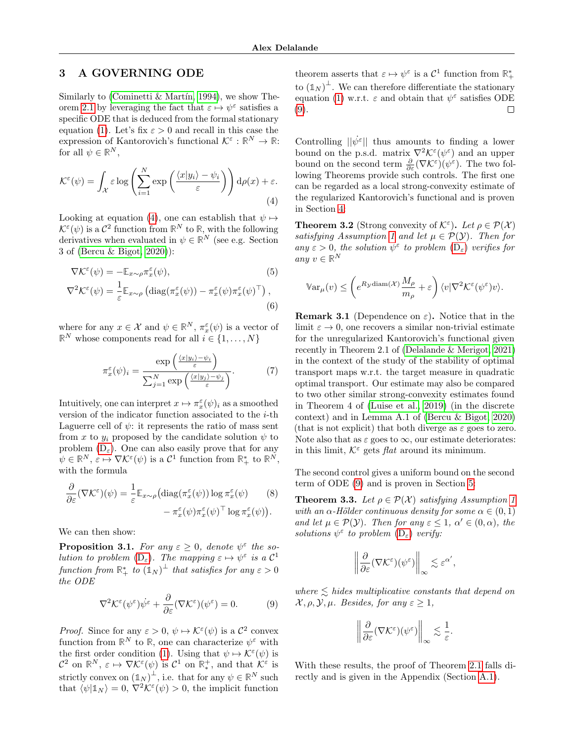# 3 A GOVERNING ODE

Similarly to (Cominetti & Martín, 1994), we show The-orem [2.1](#page-2-1) by leveraging the fact that  $\varepsilon \mapsto \psi^{\varepsilon}$  satisfies a specific ODE that is deduced from the formal stationary equation [\(1\)](#page-1-2). Let's fix  $\varepsilon > 0$  and recall in this case the expression of Kantorovich's functional  $\mathcal{K}^{\varepsilon} : \mathbb{R}^N \to \mathbb{R}$ : for all  $\psi \in \mathbb{R}^N$ ,

<span id="page-4-2"></span>
$$
\mathcal{K}^{\varepsilon}(\psi) = \int_{\mathcal{X}} \varepsilon \log \left( \sum_{i=1}^{N} \exp \left( \frac{\langle x | y_i \rangle - \psi_i}{\varepsilon} \right) \right) d\rho(x) + \varepsilon.
$$
\n(4)

Looking at equation [\(4\)](#page-4-2), one can establish that  $\psi \mapsto$  $\mathcal{K}^{\varepsilon}(\psi)$  is a  $\mathcal{C}^2$  function from  $\mathbb{R}^N$  to  $\mathbb{R}$ , with the following derivatives when evaluated in  $\psi \in \mathbb{R}^N$  (see e.g. Section 3 of [\(Bercu & Bigot, 2020\)](#page-8-4)):

$$
\nabla \mathcal{K}^{\varepsilon}(\psi) = -\mathbb{E}_{x \sim \rho} \pi_x^{\varepsilon}(\psi),
$$
\n
$$
\nabla^2 \mathcal{K}^{\varepsilon}(\psi) = \frac{1}{\varepsilon} \mathbb{E}_{x \sim \rho} \left( \text{diag}(\pi_x^{\varepsilon}(\psi)) - \pi_x^{\varepsilon}(\psi) \pi_x^{\varepsilon}(\psi)^{\top} \right),
$$
\n(6)

where for any  $x \in \mathcal{X}$  and  $\psi \in \mathbb{R}^N$ ,  $\pi_x^{\varepsilon}(\psi)$  is a vector of  $\mathbb{R}^N$  whose components read for all  $i \in \{1, \ldots, N\}$ 

$$
\pi_x^{\varepsilon}(\psi)_i = \frac{\exp\left(\frac{\langle x|y_i\rangle - \psi_i}{\varepsilon}\right)}{\sum_{j=1}^N \exp\left(\frac{\langle x|y_j\rangle - \psi_j}{\varepsilon}\right)}.
$$
(7)

Intuitively, one can interpret  $x \mapsto \pi_x^{\varepsilon}(\psi)_i$  as a smoothed version of the indicator function associated to the i-th Laguerre cell of  $\psi$ : it represents the ratio of mass sent from x to  $y_i$  proposed by the candidate solution  $\psi$  to problem  $(D_{\varepsilon})$  $(D_{\varepsilon})$ . One can also easily prove that for any  $\psi \in \mathbb{R}^N$ ,  $\varepsilon \mapsto \nabla \mathcal{K}^{\varepsilon}(\psi)$  is a  $\mathcal{C}^1$  function from  $\mathbb{R}^*$  to  $\mathbb{R}^N$ , with the formula

$$
\frac{\partial}{\partial \varepsilon} (\nabla \mathcal{K}^{\varepsilon})(\psi) = \frac{1}{\varepsilon} \mathbb{E}_{x \sim \rho} \left( \mathrm{diag}(\pi_x^{\varepsilon}(\psi)) \log \pi_x^{\varepsilon}(\psi) \right) \qquad (8)
$$

$$
- \pi_x^{\varepsilon}(\psi) \pi_x^{\varepsilon}(\psi)^\top \log \pi_x^{\varepsilon}(\psi) \right).
$$

We can then show:

<span id="page-4-5"></span>**Proposition 3.1.** For any  $\varepsilon \geq 0$ , denote  $\psi^{\varepsilon}$  the solution to problem  $(D_{\varepsilon})$  $(D_{\varepsilon})$ . The mapping  $\varepsilon \mapsto \psi^{\varepsilon}$  is a  $\mathcal{C}^1$  $\emph{function from $\mathbb{R}^*_+$ to $(\mathbb{1}_N)^\bot$ that satisfies for any $\varepsilon>0$}$ the ODE

<span id="page-4-3"></span>
$$
\nabla^2 \mathcal{K}^{\varepsilon}(\psi^{\varepsilon}) \dot{\psi}^{\varepsilon} + \frac{\partial}{\partial \varepsilon} (\nabla \mathcal{K}^{\varepsilon}) (\psi^{\varepsilon}) = 0. \tag{9}
$$

*Proof.* Since for any  $\varepsilon > 0$ ,  $\psi \mapsto \mathcal{K}^{\varepsilon}(\psi)$  is a  $\mathcal{C}^2$  convex function from  $\mathbb{R}^N$  to  $\mathbb{R}$ , one can characterize  $\psi^{\varepsilon}$  with the first order condition [\(1\)](#page-1-2). Using that  $\psi \mapsto \mathcal{K}^{\varepsilon}(\psi)$  is  $\mathcal{C}^2$  on  $\mathbb{R}^N$ ,  $\varepsilon \mapsto \nabla \mathcal{K}^{\varepsilon}(\psi)$  is  $\mathcal{C}^1$  on  $\mathbb{R}^+_*$ , and that  $\mathcal{K}^{\varepsilon}$  is strictly convex on  $(\mathbb{1}_N)^{\perp}$ , i.e. that for any  $\psi \in \mathbb{R}^N$  such that  $\langle \psi | \mathbb{1}_N \rangle = 0$ ,  $\nabla^2 \mathcal{K}^{\varepsilon}(\psi) > 0$ , the implicit function

theorem asserts that  $\varepsilon \mapsto \psi^{\varepsilon}$  is a  $\mathcal{C}^1$  function from  $\mathbb{R}^*$ to  $(\mathbb{1}_N)^{\perp}$ . We can therefore differentiate the stationary equation [\(1\)](#page-1-2) w.r.t.  $\varepsilon$  and obtain that  $\psi^{\varepsilon}$  satisfies ODE [\(9\)](#page-4-3). П

Controlling  $\|\dot{\psi}^{\varepsilon}\|$  thus amounts to finding a lower bound on the p.s.d. matrix  $\nabla^2 \mathcal{K}^{\varepsilon}(\psi^{\varepsilon})$  and an upper bound on the second term  $\frac{\partial}{\partial \varepsilon} (\nabla \mathcal{K}^{\varepsilon})(\psi^{\varepsilon})$ . The two following Theorems provide such controls. The first one can be regarded as a local strong-convexity estimate of the regularized Kantorovich's functional and is proven in Section [4:](#page-5-0)

<span id="page-4-1"></span>**Theorem 3.2** (Strong convexity of  $\mathcal{K}^{\varepsilon}$ ). Let  $\rho \in \mathcal{P}(\mathcal{X})$ satisfying Assumption [1](#page-2-0) and let  $\mu \in \mathcal{P}(\mathcal{Y})$ . Then for any  $\varepsilon > 0$ , the solution  $\psi^{\varepsilon}$  to problem  $(D_{\varepsilon})$  $(D_{\varepsilon})$  verifies for any  $v \in \mathbb{R}^N$ 

<span id="page-4-7"></span>
$$
\mathbb{V}\mathrm{ar}_{\mu}(v) \leq \left(e^{R_{\mathcal{Y}} \mathrm{diam}(\mathcal{X})} \frac{M_{\rho}}{m_{\rho}} + \varepsilon\right) \langle v | \nabla^2 \mathcal{K}^{\varepsilon}(\psi^{\varepsilon}) v \rangle.
$$

<span id="page-4-6"></span><span id="page-4-4"></span>**Remark 3.1** (Dependence on  $\varepsilon$ ). Notice that in the limit  $\varepsilon \to 0$ , one recovers a similar non-trivial estimate for the unregularized Kantorovich's functional given recently in Theorem 2.1 of [\(Delalande & Merigot, 2021\)](#page-9-18) in the context of the study of the stability of optimal transport maps w.r.t. the target measure in quadratic optimal transport. Our estimate may also be compared to two other similar strong-convexity estimates found in Theorem 4 of [\(Luise et al., 2019\)](#page-10-16) (in the discrete context) and in Lemma A.1 of [\(Bercu & Bigot, 2020\)](#page-8-4) (that is not explicit) that both diverge as  $\varepsilon$  goes to zero. Note also that as  $\varepsilon$  goes to  $\infty$ , our estimate deteriorates: in this limit,  $K^{\varepsilon}$  gets *flat* around its minimum.

The second control gives a uniform bound on the second term of ODE [\(9\)](#page-4-3) and is proven in Section [5:](#page-6-0)

<span id="page-4-0"></span>**Theorem 3.3.** Let  $\rho \in \mathcal{P}(\mathcal{X})$  satisfying Assumption [1](#page-2-0) with an  $\alpha$ -Hölder continuous density for some  $\alpha \in (0,1)$ and let  $\mu \in \mathcal{P}(\mathcal{Y})$ . Then for any  $\varepsilon \leq 1$ ,  $\alpha' \in (0, \alpha)$ , the solutions  $\psi^{\varepsilon}$  to problem  $(D_{\varepsilon})$  $(D_{\varepsilon})$  verify:

$$
\left\|\frac{\partial}{\partial \varepsilon} (\nabla \mathcal{K}^{\varepsilon})(\psi^{\varepsilon})\right\|_{\infty} \lesssim \varepsilon^{\alpha'},
$$

where  $\leq$  hides multiplicative constants that depend on  $\mathcal{X}, \rho, \mathcal{Y}, \mu$ . Besides, for any  $\varepsilon \geq 1$ ,

$$
\left\|\frac{\partial}{\partial \varepsilon}(\nabla \mathcal{K}^{\varepsilon})(\psi^{\varepsilon})\right\|_{\infty} \lesssim \frac{1}{\varepsilon}.
$$

With these results, the proof of Theorem [2.1](#page-2-1) falls directly and is given in the Appendix (Section [A.1\)](#page-12-1).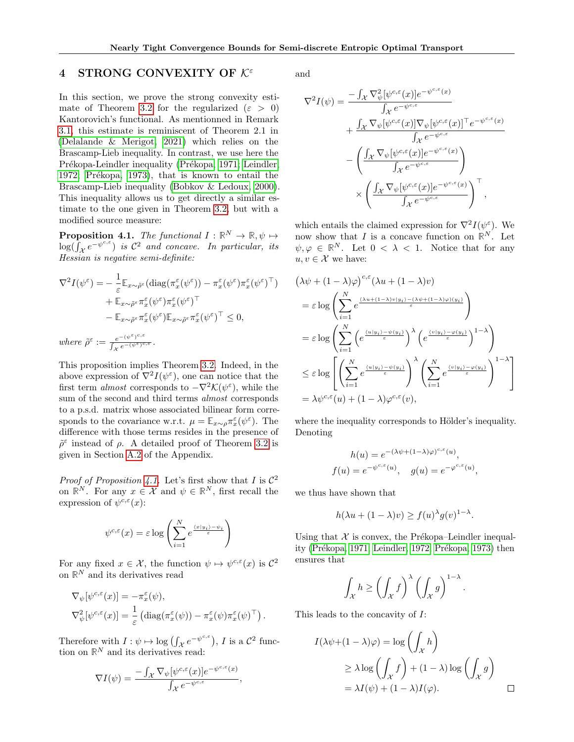# <span id="page-5-0"></span>4 STRONG CONVEXITY OF  $K^{\varepsilon}$

In this section, we prove the strong convexity esti-mate of Theorem [3.2](#page-4-1) for the regularized ( $\varepsilon > 0$ ) Kantorovich's functional. As mentionned in Remark [3.1,](#page-4-4) this estimate is reminiscent of Theorem 2.1 in [\(Delalande & Merigot, 2021\)](#page-9-18) which relies on the Brascamp-Lieb inequality. In contrast, we use here the Prékopa-Leindler inequality (Prékopa, 1971; [Leindler,](#page-10-18) [1972;](#page-10-18) Prékopa, 1973), that is known to entail the Brascamp-Lieb inequality [\(Bobkov & Ledoux, 2000\)](#page-8-11). This inequality allows us to get directly a similar estimate to the one given in Theorem [3.2,](#page-4-1) but with a modified source measure:

<span id="page-5-1"></span>**Proposition 4.1.** The functional  $I : \mathbb{R}^N \to \mathbb{R}, \psi \mapsto$  $\log(\int_{\mathcal{X}}e^{-\psi^{c,\varepsilon}})$  is  $\mathcal{C}^2$  and concave. In particular, its Hessian is negative semi-definite:

$$
\nabla^2 I(\psi^{\varepsilon}) = -\frac{1}{\varepsilon} \mathbb{E}_{x \sim \tilde{\rho}^{\varepsilon}} (\text{diag}(\pi_x^{\varepsilon}(\psi^{\varepsilon})) - \pi_x^{\varepsilon}(\psi^{\varepsilon}) \pi_x^{\varepsilon}(\psi^{\varepsilon})^{\top}) \n+ \mathbb{E}_{x \sim \tilde{\rho}^{\varepsilon}} \pi_x^{\varepsilon}(\psi^{\varepsilon}) \pi_x^{\varepsilon}(\psi^{\varepsilon})^{\top} \n- \mathbb{E}_{x \sim \tilde{\rho}^{\varepsilon}} \pi_x^{\varepsilon}(\psi^{\varepsilon}) \mathbb{E}_{x \sim \tilde{\rho}^{\varepsilon}} \pi_x^{\varepsilon}(\psi^{\varepsilon})^{\top} \leq 0, \nwhere \ \tilde{\rho}^{\varepsilon} := \frac{e^{-(\psi^{\varepsilon})^{c,\varepsilon}}}{\int_{x}^{c} e^{-(\psi^{\varepsilon})^{c,\varepsilon}}}.
$$

This proposition implies Theorem [3.2.](#page-4-1) Indeed, in the above expression of  $\nabla^2 I(\psi^{\varepsilon})$ , one can notice that the first term *almost* corresponds to  $-\nabla^2 \mathcal{K}(\psi^{\varepsilon})$ , while the sum of the second and third terms almost corresponds to a p.s.d. matrix whose associated bilinear form corresponds to the covariance w.r.t.  $\mu = \mathbb{E}_{x \sim \rho} \pi_x^{\varepsilon}(\psi^{\varepsilon})$ . The difference with those terms resides in the presence of  $\tilde{\rho}^{\varepsilon}$  instead of  $\rho$ . A detailed proof of Theorem [3.2](#page-4-1) is given in Section [A.2](#page-12-0) of the Appendix.

*Proof of Proposition [4.1.](#page-5-1)* Let's first show that I is  $\mathcal{C}^2$ on  $\mathbb{R}^N$ . For any  $x \in \mathcal{X}$  and  $\psi \in \mathbb{R}^N$ , first recall the expression of  $\psi^{c,\varepsilon}(x)$ :

$$
\psi^{c,\varepsilon}(x) = \varepsilon \log \left( \sum_{i=1}^N e^{\frac{\langle x, |y_i\rangle - \psi_i}{\varepsilon}} \right)
$$

For any fixed  $x \in \mathcal{X}$ , the function  $\psi \mapsto \psi^{c,\varepsilon}(x)$  is  $\mathcal{C}^2$ on  $\mathbb{R}^N$  and its derivatives read

$$
\nabla_{\psi}[\psi^{c,\varepsilon}(x)] = -\pi_x^{\varepsilon}(\psi),
$$
  

$$
\nabla_{\psi}^2[\psi^{c,\varepsilon}(x)] = \frac{1}{\varepsilon} \left( \mathrm{diag}(\pi_x^{\varepsilon}(\psi)) - \pi_x^{\varepsilon}(\psi) \pi_x^{\varepsilon}(\psi)^\top \right).
$$

Therefore with  $I: \psi \mapsto \log \left( \int_{\mathcal{X}} e^{-\psi^{c,\varepsilon}} \right)$ , I is a  $\mathcal{C}^2$  function on  $\mathbb{R}^N$  and its derivatives read:

$$
\nabla I(\psi) = \frac{-\int_{\mathcal{X}} \nabla_{\psi} [\psi^{c,\varepsilon}(x)] e^{-\psi^{c,\varepsilon}(x)}}{\int_{\mathcal{X}} e^{-\psi^{c,\varepsilon}}},
$$

and

$$
\nabla^2 I(\psi) = \frac{-\int_{\mathcal{X}} \nabla^2_{\psi} [\psi^{c,\varepsilon}(x)] e^{-\psi^{c,\varepsilon}(x)}}{\int_{\mathcal{X}} e^{-\psi^{c,\varepsilon}}}
$$

$$
+ \frac{\int_{\mathcal{X}} \nabla_{\psi} [\psi^{c,\varepsilon}(x)] \nabla_{\psi} [\psi^{c,\varepsilon}(x)]^{\top} e^{-\psi^{c,\varepsilon}(x)}}{\int_{\mathcal{X}} e^{-\psi^{c,\varepsilon}}}
$$

$$
- \left( \frac{\int_{\mathcal{X}} \nabla_{\psi} [\psi^{c,\varepsilon}(x)] e^{-\psi^{c,\varepsilon}(x)}}{\int_{\mathcal{X}} e^{-\psi^{c,\varepsilon}}}\right)
$$

$$
\times \left( \frac{\int_{\mathcal{X}} \nabla_{\psi} [\psi^{c,\varepsilon}(x)] e^{-\psi^{c,\varepsilon}(x)}}{\int_{\mathcal{X}} e^{-\psi^{c,\varepsilon}}} \right)^{\top},
$$

which entails the claimed expression for  $\nabla^2 I(\psi^{\varepsilon})$ . We now show that I is a concave function on  $\mathbb{R}^N$ . Let  $\psi, \varphi \in \mathbb{R}^N$ . Let  $0 < \lambda < 1$ . Notice that for any  $u, v \in \mathcal{X}$  we have:

$$
(\lambda \psi + (1 - \lambda)\varphi)^{c,\varepsilon}(\lambda u + (1 - \lambda)v)
$$
  
=  $\varepsilon \log \left( \sum_{i=1}^{N} e^{\frac{(\lambda u + (1 - \lambda)v)y_i) - (\lambda \psi + (1 - \lambda)\varphi)(y_i)}{\varepsilon}} \right)$   
=  $\varepsilon \log \left( \sum_{i=1}^{N} \left( e^{\frac{\langle u|y_i \rangle - \psi(y_i)}{\varepsilon}} \right)^{\lambda} \left( e^{\frac{\langle v|y_i \rangle - \varphi(y_i)}{\varepsilon}} \right)^{1-\lambda} \right)$   
 $\leq \varepsilon \log \left[ \left( \sum_{i=1}^{N} e^{\frac{\langle u|y_i \rangle - \psi(y_i)}{\varepsilon}} \right)^{\lambda} \left( \sum_{i=1}^{N} e^{\frac{\langle v|y_i \rangle - \varphi(y_i)}{\varepsilon}} \right)^{1-\lambda} \right]$   
=  $\lambda \psi^{c,\varepsilon}(u) + (1 - \lambda)\varphi^{c,\varepsilon}(v),$ 

where the inequality corresponds to Hölder's inequality. Denoting

$$
h(u) = e^{-(\lambda \psi + (1-\lambda)\varphi)^{c,\varepsilon}(u)},
$$
  

$$
f(u) = e^{-\psi^{c,\varepsilon}(u)}, \quad g(u) = e^{-\varphi^{c,\varepsilon}(u)},
$$

we thus have shown that

$$
h(\lambda u + (1 - \lambda)v) \ge f(u)^{\lambda} g(v)^{1 - \lambda}.
$$

Using that  $X$  is convex, the Prékopa–Leindler inequal-ity (Prékopa, 1971; [Leindler, 1972;](#page-10-18) Prékopa, 1973) then ensures that

$$
\int_{\mathcal{X}} h \ge \left( \int_{\mathcal{X}} f \right)^{\lambda} \left( \int_{\mathcal{X}} g \right)^{1-\lambda}.
$$

This leads to the concavity of I:

$$
I(\lambda \psi + (1 - \lambda)\varphi) = \log \left( \int_{\mathcal{X}} h \right)
$$
  
\n
$$
\geq \lambda \log \left( \int_{\mathcal{X}} f \right) + (1 - \lambda) \log \left( \int_{\mathcal{X}} g \right)
$$
  
\n
$$
= \lambda I(\psi) + (1 - \lambda)I(\varphi). \qquad \Box
$$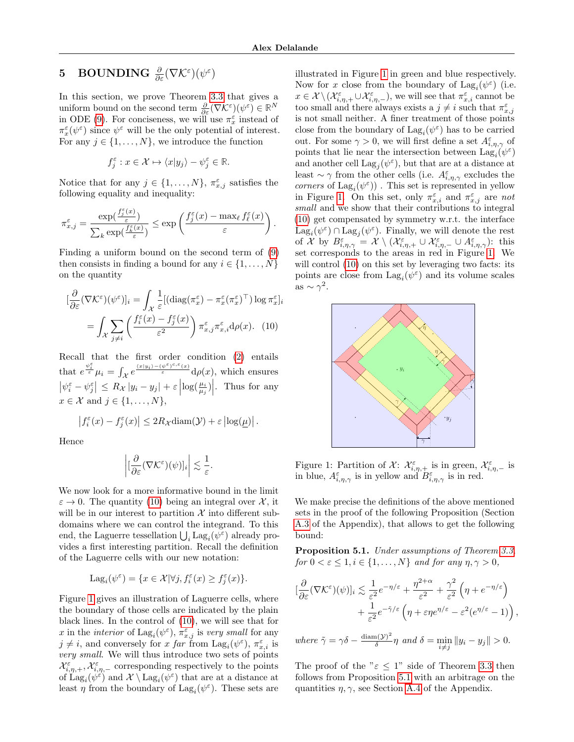# <span id="page-6-0"></span> ${\bf 5}\quad {\bf BOUNDING}\ \frac{\partial}{\partial \varepsilon}(\nabla{\cal K}^\varepsilon)(\psi^\varepsilon)$

In this section, we prove Theorem [3.3](#page-4-0) that gives a uniform bound on the second term  $\frac{\partial}{\partial \varepsilon} (\nabla \mathcal{K}^{\varepsilon})(\psi^{\varepsilon}) \in \mathbb{R}^{N}$ in ODE [\(9\)](#page-4-3). For conciseness, we will use  $\pi_x^{\varepsilon}$  instead of  $\pi_x^{\varepsilon}(\psi^{\varepsilon})$  since  $\psi^{\varepsilon}$  will be the only potential of interest. For any  $j \in \{1, \ldots, N\}$ , we introduce the function

$$
f_j^{\varepsilon} : x \in \mathcal{X} \mapsto \langle x | y_j \rangle - \psi_j^{\varepsilon} \in \mathbb{R}.
$$

Notice that for any  $j \in \{1, ..., N\}$ ,  $\pi_{x,j}^{\varepsilon}$  satisfies the following equality and inequality:

$$
\pi^{\varepsilon}_{x,j} = \frac{\exp(\frac{f^{\varepsilon}_j(x)}{\varepsilon})}{\sum_k \exp(\frac{f^{\varepsilon}_k(x)}{\varepsilon})} \leq \exp\left(\frac{f^{\varepsilon}_j(x) - \max_{\ell} f^{\varepsilon}_{\ell}(x)}{\varepsilon}\right).
$$

Finding a uniform bound on the second term of [\(9\)](#page-4-3) then consists in finding a bound for any  $i \in \{1, \ldots, N\}$ on the quantity

$$
[\frac{\partial}{\partial \varepsilon} (\nabla \mathcal{K}^{\varepsilon})(\psi^{\varepsilon})]_i = \int_{\mathcal{X}} \frac{1}{\varepsilon} [(\text{diag}(\pi_x^{\varepsilon}) - \pi_x^{\varepsilon} (\pi_x^{\varepsilon})^{\top}) \log \pi_x^{\varepsilon}]_i
$$

$$
= \int_{\mathcal{X}} \sum_{j \neq i} \left( \frac{f_i^{\varepsilon}(x) - f_j^{\varepsilon}(x)}{\varepsilon^2} \right) \pi_{x,j}^{\varepsilon} \pi_{x,i}^{\varepsilon} d\rho(x). \quad (10)
$$

Recall that the first order condition [\(2\)](#page-2-2) entails that  $e^{\frac{\psi_i^{\varepsilon}}{\varepsilon}}\mu_i = \int_{\mathcal{X}} e^{\frac{\langle x|y_i\rangle - (\psi^{\varepsilon})^{c,\varepsilon}(x)}{\varepsilon}} d\rho(x)$ , which ensures  $\left|\psi_i^{\varepsilon} - \psi_j^{\varepsilon}\right| \leq R_{\mathcal{X}} |y_i - y_j| + \varepsilon \left|\log(\frac{\mu_i}{\mu_j})\right|$ . Thus for any  $x \in \mathcal{X}$  and  $j \in \{1, \ldots, N\},\$ 

$$
\left|f_i^{\varepsilon}(x) - f_j^{\varepsilon}(x)\right| \leq 2R_{\mathcal{X}} \operatorname{diam}(\mathcal{Y}) + \varepsilon \left|\log(\underline{\mu})\right|.
$$

Hence

$$
\left|[\frac{\partial}{\partial \varepsilon}(\nabla \mathcal{K}^\varepsilon)(\psi)]_i\right| \lesssim \frac{1}{\varepsilon}.
$$

We now look for a more informative bound in the limit  $\varepsilon \to 0$ . The quantity [\(10\)](#page-6-2) being an integral over X, it will be in our interest to partition  $\mathcal X$  into different subdomains where we can control the integrand. To this end, the Laguerre tessellation  $\bigcup_i \mathrm{Lag}_i(\psi^\varepsilon)$  already provides a first interesting partition. Recall the definition of the Laguerre cells with our new notation:

$$
Lag_i(\psi^{\varepsilon}) = \{ x \in \mathcal{X} | \forall j, f_i^{\varepsilon}(x) \ge f_j^{\varepsilon}(x) \}.
$$

Figure [1](#page-6-3) gives an illustration of Laguerre cells, where the boundary of those cells are indicated by the plain black lines. In the control of [\(10\)](#page-6-2), we will see that for x in the *interior* of  $\text{Lag}_i(\psi^\varepsilon)$ ,  $\pi_{x,j}^\varepsilon$  is very small for any  $j \neq i$ , and conversely for x far from  $\text{Lag}_i(\psi^{\varepsilon})$ ,  $\pi_{x,i}^{\varepsilon}$  is very small. We will thus introduce two sets of points  $\mathcal{X}_{i,\eta,+}^{\varepsilon}$ ,  $\mathcal{X}_{i,\eta,-}^{\varepsilon}$  corresponding respectively to the points of  $\text{Lag}_i(\psi^{\varepsilon})$  and  $\mathcal{X} \setminus \text{Lag}_i(\psi^{\varepsilon})$  that are at a distance at least  $\eta$  from the boundary of  $\text{Lag}_i(\psi^{\varepsilon})$ . These sets are

illustrated in Figure [1](#page-6-3) in green and blue respectively. Now for x close from the boundary of  $\text{Lag}_i(\psi^{\varepsilon})$  (i.e.  $x \in \mathcal{X} \setminus (\mathcal{X}_{i,\eta,+}^{\varepsilon} \cup \mathcal{X}_{i,\eta,-}^{\varepsilon}),$  we will see that  $\pi_{x,i}^{\varepsilon}$  cannot be too small and there always exists a  $j \neq i$  such that  $\pi_{x,j}^{\varepsilon}$ is not small neither. A finer treatment of those points close from the boundary of  $\text{Lag}_i(\psi^\varepsilon)$  has to be carried out. For some  $\gamma > 0$ , we will first define a set  $A^{\varepsilon}_{i,\eta,\gamma}$  of points that lie near the intersection between  $\text{Lag}_i(\psi^\varepsilon)$ and another cell  $\text{Lag}_j(\psi^\varepsilon)$ , but that are at a distance at least  $\sim \gamma$  from the other cells (i.e.  $A_{i,\eta,\gamma}^{\varepsilon}$  excludes the  $corners$  of  $\text{Lag}_i(\psi^\varepsilon))$  . This set is represented in yellow in Figure [1.](#page-6-3) On this set, only  $\pi_{x,i}^{\varepsilon}$  and  $\pi_{x,j}^{\varepsilon}$  are not small and we show that their contributions to integral [\(10\)](#page-6-2) get compensated by symmetry w.r.t. the interface  $\text{Lag}_i(\psi^\varepsilon) \cap \text{Lag}_j(\psi^\varepsilon)$ . Finally, we will denote the rest of X by  $B_{i,\eta,\gamma}^{\varepsilon} = \mathcal{X} \setminus (\mathcal{X}_{i,\eta,+}^{\varepsilon} \cup \mathcal{X}_{i,\eta,-}^{\varepsilon} \cup A_{i,\eta,\gamma}^{\varepsilon})$ : this set corresponds to the areas in red in Figure [1.](#page-6-3) We will control  $(10)$  on this set by leveraging two facts: its points are close from  $\text{Lag}_i(\psi^\varepsilon)$  and its volume scales as  $\sim \gamma^2$ .

<span id="page-6-2"></span>

<span id="page-6-3"></span>Figure 1: Partition of  $\mathcal{X}$ :  $\mathcal{X}_{i,\eta,+}^{\varepsilon}$  is in green,  $\mathcal{X}_{i,\eta,-}^{\varepsilon}$  is in blue,  $A_{i,\eta,\gamma}^{\varepsilon}$  is in yellow and  $B_{i,\eta,\gamma}^{\varepsilon}$  is in red.

We make precise the definitions of the above mentioned sets in the proof of the following Proposition (Section [A.3](#page-13-0) of the Appendix), that allows to get the following bound:

<span id="page-6-1"></span>Proposition 5.1. Under assumptions of Theorem [3.3,](#page-4-0) for  $0 < \varepsilon \leq 1, i \in \{1, \ldots, N\}$  and for any  $\eta, \gamma > 0$ ,

$$
\left[\frac{\partial}{\partial \varepsilon} (\nabla \mathcal{K}^{\varepsilon})(\psi)\right]_i \lesssim \frac{1}{\varepsilon^2} e^{-\eta/\varepsilon} + \frac{\eta^{2+\alpha}}{\varepsilon^2} + \frac{\gamma^2}{\varepsilon^2} \left(\eta + e^{-\eta/\varepsilon}\right) + \frac{1}{\varepsilon^2} e^{-\tilde{\gamma}/\varepsilon} \left(\eta + \varepsilon \eta e^{\eta/\varepsilon} - \varepsilon^2 (e^{\eta/\varepsilon} - 1)\right),
$$

where 
$$
\tilde{\gamma} = \gamma \delta - \frac{\text{diam}(\mathcal{Y})^2}{\delta} \eta
$$
 and  $\delta = \min_{i \neq j} ||y_i - y_j|| > 0$ .

The proof of the " $\varepsilon \leq 1$ " side of Theorem [3.3](#page-4-0) then follows from Proposition [5.1](#page-6-1) with an arbitrage on the quantities  $\eta, \gamma$ , see Section [A.4](#page-17-0) of the Appendix.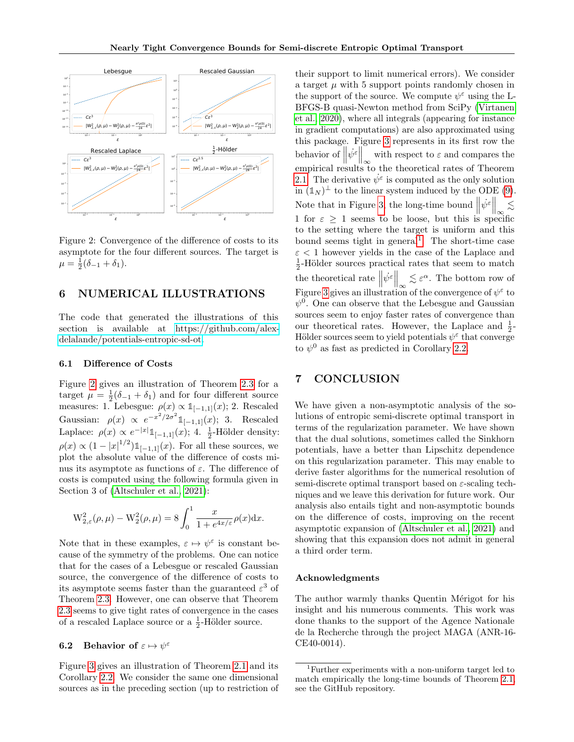

Figure 2: Convergence of the difference of costs to its asymptote for the four different sources. The target is  $\mu = \frac{1}{2}(\delta_{-1} + \delta_1).$ 

# <span id="page-7-0"></span>6 NUMERICAL ILLUSTRATIONS

The code that generated the illustrations of this section is available at [https://github.com/alex](https://github.com/alex-delalande/potentials-entropic-sd-ot)[delalande/potentials-entropic-sd-ot.](https://github.com/alex-delalande/potentials-entropic-sd-ot)

### 6.1 Difference of Costs

Figure [2](#page-7-1) gives an illustration of Theorem [2.3](#page-3-1) for a target  $\mu = \frac{1}{2}(\delta_{-1} + \delta_1)$  and for four different source measures: 1. Lebesgue:  $\rho(x) \propto \mathbb{1}_{[-1,1]}(x)$ ; 2. Rescaled Gaussian:  $\rho(x) \propto e^{-x^2/2\sigma^2} \mathbb{1}_{[-1,1]}(x);$  3. Rescaled Laplace:  $\rho(x) \propto e^{-|x|} \mathbb{1}_{[-1,1]}(x)$ ; 4.  $\frac{1}{2}$ -Hölder density:  $\rho(x) \propto (1-|x|^{1/2}) \mathbb{1}_{[-1,1]}(x)$ . For all these sources, we plot the absolute value of the difference of costs minus its asymptote as functions of  $\varepsilon$ . The difference of costs is computed using the following formula given in Section 3 of [\(Altschuler et al., 2021\)](#page-8-7):

$$
W_{2,\varepsilon}^{2}(\rho,\mu) - W_{2}^{2}(\rho,\mu) = 8 \int_{0}^{1} \frac{x}{1 + e^{4x/\varepsilon}} \rho(x) dx.
$$

Note that in these examples,  $\varepsilon \mapsto \psi^{\varepsilon}$  is constant because of the symmetry of the problems. One can notice that for the cases of a Lebesgue or rescaled Gaussian source, the convergence of the difference of costs to its asymptote seems faster than the guaranteed  $\varepsilon^3$  of Theorem [2.3.](#page-3-1) However, one can observe that Theorem [2.3](#page-3-1) seems to give tight rates of convergence in the cases of a rescaled Laplace source or a  $\frac{1}{2}$ -Hölder source.

# 6.2 Behavior of  $\varepsilon \mapsto \psi^{\varepsilon}$

Figure [3](#page-8-12) gives an illustration of Theorem [2.1](#page-2-1) and its Corollary [2.2.](#page-3-0) We consider the same one dimensional sources as in the preceding section (up to restriction of <span id="page-7-1"></span>their support to limit numerical errors). We consider a target  $\mu$  with 5 support points randomly chosen in the support of the source. We compute  $\psi^{\varepsilon}$  using the L-BFGS-B quasi-Newton method from SciPy [\(Virtanen](#page-10-20) [et al., 2020\)](#page-10-20), where all integrals (appearing for instance in gradient computations) are also approximated using this package. Figure [3](#page-8-12) represents in its first row the behavior of  $\|\psi^{\varepsilon}\|_{\infty}$  with respect to  $\varepsilon$  and compares the empirical results to the theoretical rates of Theorem [2.1.](#page-2-1) The derivative  $\dot{\psi}^{\varepsilon}$  is computed as the only solution in  $(\mathbb{1}_N)^{\perp}$  to the linear system induced by the ODE [\(9\)](#page-4-3). Note that in Figure [3,](#page-8-12) the long-time bound  $\|\psi^{\varepsilon}\|_{\infty}$  $\lt$ 1 for  $\varepsilon \geq 1$  seems to be loose, but this is specific to the setting where the target is uniform and this bound seems tight in general<sup>[1](#page-7-2)</sup>. The short-time case  $\varepsilon$  < 1 however yields in the case of the Laplace and  $\frac{1}{2}$ -Hölder sources practical rates that seem to match the theoretical rate  $\left\|\psi^{\varepsilon}\right\|_{\infty} \lesssim \varepsilon^{\alpha}$ . The bottom row of Figure [3](#page-8-12) gives an illustration of the convergence of  $\psi^{\varepsilon}$  to  $\psi^0$ . One can observe that the Lebesgue and Gaussian sources seem to enjoy faster rates of convergence than our theoretical rates. However, the Laplace and  $\frac{1}{2}$ -Hölder sources seem to yield potentials  $\psi^{\varepsilon}$  that converge to  $\psi^0$  as fast as predicted in Corollary [2.2.](#page-3-0)

# 7 CONCLUSION

We have given a non-asymptotic analysis of the solutions of entropic semi-discrete optimal transport in terms of the regularization parameter. We have shown that the dual solutions, sometimes called the Sinkhorn potentials, have a better than Lipschitz dependence on this regularization parameter. This may enable to derive faster algorithms for the numerical resolution of semi-discrete optimal transport based on  $\varepsilon$ -scaling techniques and we leave this derivation for future work. Our analysis also entails tight and non-asymptotic bounds on the difference of costs, improving on the recent asymptotic expansion of [\(Altschuler et al., 2021\)](#page-8-7) and showing that this expansion does not admit in general a third order term.

#### Acknowledgments

The author warmly thanks Quentin Mérigot for his insight and his numerous comments. This work was done thanks to the support of the Agence Nationale de la Recherche through the project MAGA (ANR-16- CE40-0014).

<span id="page-7-2"></span><sup>1</sup>Further experiments with a non-uniform target led to match empirically the long-time bounds of Theorem [2.1,](#page-2-1) see the GitHub repository.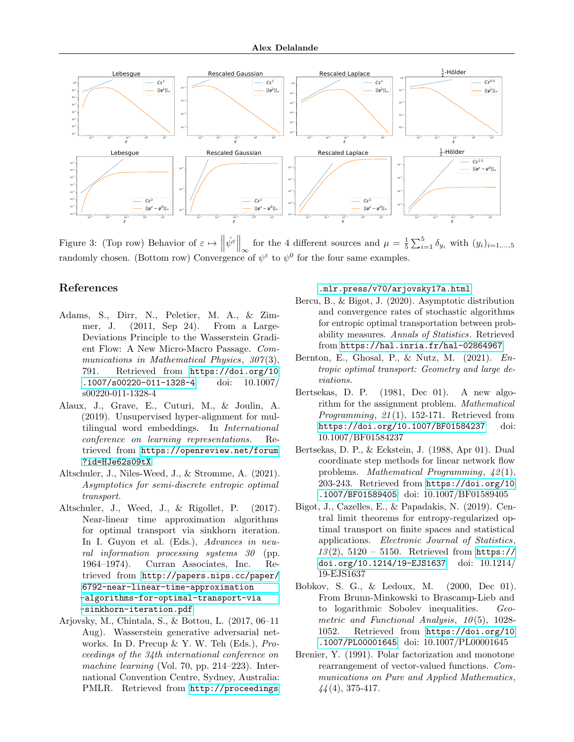

Figure 3: (Top row) Behavior of  $\varepsilon \mapsto \left\|\psi^{\varepsilon}\right\|_{\infty}$  for the 4 different sources and  $\mu = \frac{1}{5}\sum_{i=1}^{5} \delta_{y_i}$  with  $(y_i)_{i=1,\dots,5}$ randomly chosen. (Bottom row) Convergence of  $\psi^{\varepsilon}$  to  $\psi^{0}$  for the four same examples.

# References

- <span id="page-8-6"></span>Adams, S., Dirr, N., Peletier, M. A., & Zimmer, J. (2011, Sep 24). From a Large-Deviations Principle to the Wasserstein Gradient Flow: A New Micro-Macro Passage. Communications in Mathematical Physics,  $307(3)$ , 791. Retrieved from [https://doi.org/10](https://doi.org/10.1007/s00220-011-1328-4) [.1007/s00220-011-1328-4](https://doi.org/10.1007/s00220-011-1328-4) doi: 10.1007/ s00220-011-1328-4
- <span id="page-8-1"></span>Alaux, J., Grave, E., Cuturi, M., & Joulin, A. (2019). Unsupervised hyper-alignment for multilingual word embeddings. In International conference on learning representations. Retrieved from [https://openreview.net/forum](https://openreview.net/forum?id=HJe62s09tX) [?id=HJe62s09tX](https://openreview.net/forum?id=HJe62s09tX)
- <span id="page-8-7"></span>Altschuler, J., Niles-Weed, J., & Stromme, A. (2021). Asymptotics for semi-discrete entropic optimal transport.
- <span id="page-8-3"></span>Altschuler, J., Weed, J., & Rigollet, P. (2017). Near-linear time approximation algorithms for optimal transport via sinkhorn iteration. In I. Guyon et al. (Eds.), Advances in neural information processing systems 30 (pp. 1964–1974). Curran Associates, Inc. Retrieved from [http://papers.nips.cc/paper/](http://papers.nips.cc/paper/6792-near-linear-time-approximation-algorithms-for-optimal-transport-via-sinkhorn-iteration.pdf) [6792-near-linear-time-approximation](http://papers.nips.cc/paper/6792-near-linear-time-approximation-algorithms-for-optimal-transport-via-sinkhorn-iteration.pdf) [-algorithms-for-optimal-transport-via](http://papers.nips.cc/paper/6792-near-linear-time-approximation-algorithms-for-optimal-transport-via-sinkhorn-iteration.pdf) [-sinkhorn-iteration.pdf](http://papers.nips.cc/paper/6792-near-linear-time-approximation-algorithms-for-optimal-transport-via-sinkhorn-iteration.pdf)
- <span id="page-8-0"></span>Arjovsky, M., Chintala, S., & Bottou, L. (2017, 06–11 Aug). Wasserstein generative adversarial networks. In D. Precup & Y. W. Teh (Eds.), Proceedings of the 34th international conference on machine learning (Vol. 70, pp. 214–223). International Convention Centre, Sydney, Australia: PMLR. Retrieved from [http://proceedings](http://proceedings.mlr.press/v70/arjovsky17a.html)

### <span id="page-8-12"></span>[.mlr.press/v70/arjovsky17a.html](http://proceedings.mlr.press/v70/arjovsky17a.html)

- <span id="page-8-4"></span>Bercu, B., & Bigot, J. (2020). Asymptotic distribution and convergence rates of stochastic algorithms for entropic optimal transportation between probability measures. Annals of Statistics. Retrieved from <https://hal.inria.fr/hal-02864967>
- <span id="page-8-5"></span>Bernton, E., Ghosal, P., & Nutz, M. (2021). Entropic optimal transport: Geometry and large deviations.
- <span id="page-8-9"></span>Bertsekas, D. P. (1981, Dec 01). A new algorithm for the assignment problem. Mathematical *Programming, 21(1), 152-171.* Retrieved from <https://doi.org/10.1007/BF01584237> doi: 10.1007/BF01584237
- <span id="page-8-10"></span>Bertsekas, D. P., & Eckstein, J. (1988, Apr 01). Dual coordinate step methods for linear network flow problems. *Mathematical Programming,*  $\angle 2(1)$ , 203-243. Retrieved from [https://doi.org/10](https://doi.org/10.1007/BF01589405) [.1007/BF01589405](https://doi.org/10.1007/BF01589405) doi: 10.1007/BF01589405
- <span id="page-8-2"></span>Bigot, J., Cazelles, E., & Papadakis, N. (2019). Central limit theorems for entropy-regularized optimal transport on finite spaces and statistical applications. Electronic Journal of Statistics,  $13(2)$ ,  $5120 - 5150$ . Retrieved from [https://](https://doi.org/10.1214/19-EJS1637) [doi.org/10.1214/19-EJS1637](https://doi.org/10.1214/19-EJS1637) doi: 10.1214/ 19-EJS1637
- <span id="page-8-11"></span>Bobkov, S. G., & Ledoux, M. (2000, Dec 01). From Brunn-Minkowski to Brascamp-Lieb and to logarithmic Sobolev inequalities. Geometric and Functional Analysis,  $10(5)$ , 1028-1052. Retrieved from [https://doi.org/10](https://doi.org/10.1007/PL00001645) [.1007/PL00001645](https://doi.org/10.1007/PL00001645) doi: 10.1007/PL00001645
- <span id="page-8-8"></span>Brenier, Y. (1991). Polar factorization and monotone rearrangement of vector-valued functions. Communications on Pure and Applied Mathematics,  $44(4)$ , 375-417.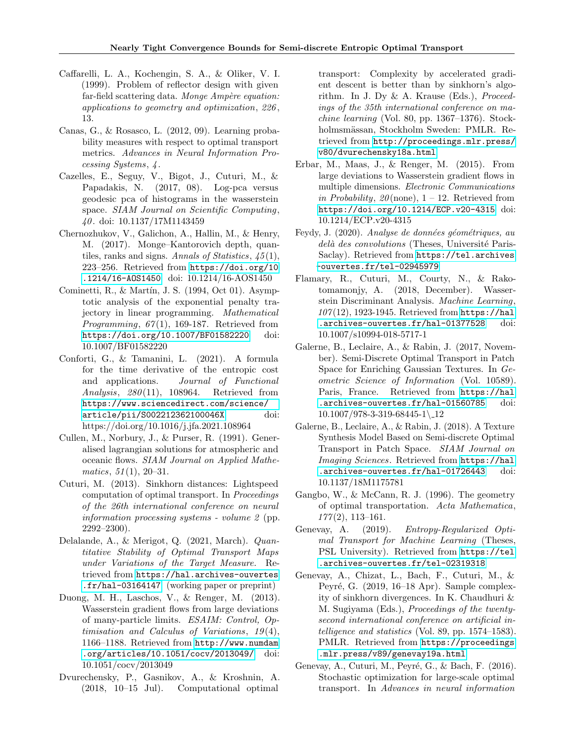- <span id="page-9-14"></span>Caffarelli, L. A., Kochengin, S. A., & Oliker, V. I. (1999). Problem of reflector design with given far-field scattering data. Monge  $Amp\`ere$  equation: applications to geometry and optimization, 226 , 13.
- <span id="page-9-0"></span>Canas, G., & Rosasco, L. (2012, 09). Learning probability measures with respect to optimal transport metrics. Advances in Neural Information Processing Systems, 4 .
- <span id="page-9-2"></span>Cazelles, E., Seguy, V., Bigot, J., Cuturi, M., & Papadakis, N. (2017, 08). Log-pca versus geodesic pca of histograms in the wasserstein space. SIAM Journal on Scientific Computing, 40 . doi: 10.1137/17M1143459
- <span id="page-9-11"></span>Chernozhukov, V., Galichon, A., Hallin, M., & Henry, M. (2017). Monge–Kantorovich depth, quantiles, ranks and signs. Annals of Statistics,  $\langle 45(1), \rangle$ 223–256. Retrieved from [https://doi.org/10](https://doi.org/10.1214/16-AOS1450) [.1214/16-AOS1450](https://doi.org/10.1214/16-AOS1450) doi: 10.1214/16-AOS1450
- <span id="page-9-10"></span>Cominetti, R., & Martín, J. S.  $(1994, Oct 01)$ . Asymptotic analysis of the exponential penalty trajectory in linear programming. Mathematical *Programming, 67(1), 169-187.* Retrieved from <https://doi.org/10.1007/BF01582220> doi: 10.1007/BF01582220
- <span id="page-9-9"></span>Conforti, G., & Tamanini, L. (2021). A formula for the time derivative of the entropic cost and applications. Journal of Functional Analysis,  $280(11)$ , 108964. Retrieved from [https://www.sciencedirect.com/science/](https://www.sciencedirect.com/science/article/pii/S002212362100046X) [article/pii/S002212362100046X](https://www.sciencedirect.com/science/article/pii/S002212362100046X) doi: https://doi.org/10.1016/j.jfa.2021.108964
- <span id="page-9-12"></span>Cullen, M., Norbury, J., & Purser, R. (1991). Generalised lagrangian solutions for atmospheric and oceanic flows. SIAM Journal on Applied Mathe $matics, 51(1), 20-31.$
- <span id="page-9-3"></span>Cuturi, M. (2013). Sinkhorn distances: Lightspeed computation of optimal transport. In Proceedings of the 26th international conference on neural information processing systems - volume 2 (pp. 2292–2300).
- <span id="page-9-18"></span>Delalande, A., & Merigot, Q. (2021, March). Quantitative Stability of Optimal Transport Maps under Variations of the Target Measure. Retrieved from [https://hal.archives-ouvertes](https://hal.archives-ouvertes.fr/hal-03164147) [.fr/hal-03164147](https://hal.archives-ouvertes.fr/hal-03164147) (working paper or preprint)
- <span id="page-9-7"></span>Duong, M. H., Laschos, V., & Renger, M. (2013). Wasserstein gradient flows from large deviations of many-particle limits. ESAIM: Control, Optimisation and Calculus of Variations,  $19(4)$ , 1166–1188. Retrieved from [http://www.numdam](http://www.numdam.org/articles/10.1051/cocv/2013049/) [.org/articles/10.1051/cocv/2013049/](http://www.numdam.org/articles/10.1051/cocv/2013049/) doi: 10.1051/cocv/2013049
- <span id="page-9-4"></span>Dvurechensky, P., Gasnikov, A., & Kroshnin, A. (2018, 10–15 Jul). Computational optimal

transport: Complexity by accelerated gradient descent is better than by sinkhorn's algorithm. In J. Dy  $\&$  A. Krause (Eds.), *Proceed*ings of the 35th international conference on machine learning (Vol. 80, pp. 1367–1376). Stockholmsmässan, Stockholm Sweden: PMLR. Retrieved from [http://proceedings.mlr.press/](http://proceedings.mlr.press/v80/dvurechensky18a.html) [v80/dvurechensky18a.html](http://proceedings.mlr.press/v80/dvurechensky18a.html)

- <span id="page-9-8"></span>Erbar, M., Maas, J., & Renger, M. (2015). From large deviations to Wasserstein gradient flows in multiple dimensions. Electronic Communications in Probability,  $20$ (none),  $1 - 12$ . Retrieved from <https://doi.org/10.1214/ECP.v20-4315> doi: 10.1214/ECP.v20-4315
- <span id="page-9-17"></span>Feydy, J. (2020). Analyse de données géométriques, au delà des convolutions (Theses, Université Paris-Saclay). Retrieved from [https://tel.archives](https://tel.archives-ouvertes.fr/tel-02945979) [-ouvertes.fr/tel-02945979](https://tel.archives-ouvertes.fr/tel-02945979)
- <span id="page-9-1"></span>Flamary, R., Cuturi, M., Courty, N., & Rakotomamonjy, A. (2018, December). Wasserstein Discriminant Analysis. Machine Learning,  $107(12)$ , 1923-1945. Retrieved from [https://hal](https://hal.archives-ouvertes.fr/hal-01377528) [.archives-ouvertes.fr/hal-01377528](https://hal.archives-ouvertes.fr/hal-01377528) doi: 10.1007/s10994-018-5717-1
- <span id="page-9-15"></span>Galerne, B., Leclaire, A., & Rabin, J. (2017, November). Semi-Discrete Optimal Transport in Patch Space for Enriching Gaussian Textures. In Geometric Science of Information (Vol. 10589). Paris, France. Retrieved from [https://hal](https://hal.archives-ouvertes.fr/hal-01560785) [.archives-ouvertes.fr/hal-01560785](https://hal.archives-ouvertes.fr/hal-01560785) doi:  $10.1007/978-3-319-68445-1$  12
- <span id="page-9-16"></span>Galerne, B., Leclaire, A., & Rabin, J. (2018). A Texture Synthesis Model Based on Semi-discrete Optimal Transport in Patch Space. SIAM Journal on Imaging Sciences. Retrieved from [https://hal](https://hal.archives-ouvertes.fr/hal-01726443) [.archives-ouvertes.fr/hal-01726443](https://hal.archives-ouvertes.fr/hal-01726443) doi: 10.1137/18M1175781
- <span id="page-9-13"></span>Gangbo, W., & McCann, R. J. (1996). The geometry of optimal transportation. Acta Mathematica,  $177(2)$ , 113-161.
- <span id="page-9-19"></span>Genevay, A. (2019). Entropy-Regularized Optimal Transport for Machine Learning (Theses, PSL University). Retrieved from [https://tel](https://tel.archives-ouvertes.fr/tel-02319318) [.archives-ouvertes.fr/tel-02319318](https://tel.archives-ouvertes.fr/tel-02319318)
- <span id="page-9-5"></span>Genevay, A., Chizat, L., Bach, F., Cuturi, M., & Peyré, G. (2019, 16–18 Apr). Sample complexity of sinkhorn divergences. In K. Chaudhuri & M. Sugiyama (Eds.), Proceedings of the twentysecond international conference on artificial intelligence and statistics (Vol. 89, pp. 1574–1583). PMLR. Retrieved from [https://proceedings](https://proceedings.mlr.press/v89/genevay19a.html) [.mlr.press/v89/genevay19a.html](https://proceedings.mlr.press/v89/genevay19a.html)
- <span id="page-9-6"></span>Genevay, A., Cuturi, M., Peyré, G., & Bach, F. (2016). Stochastic optimization for large-scale optimal transport. In Advances in neural information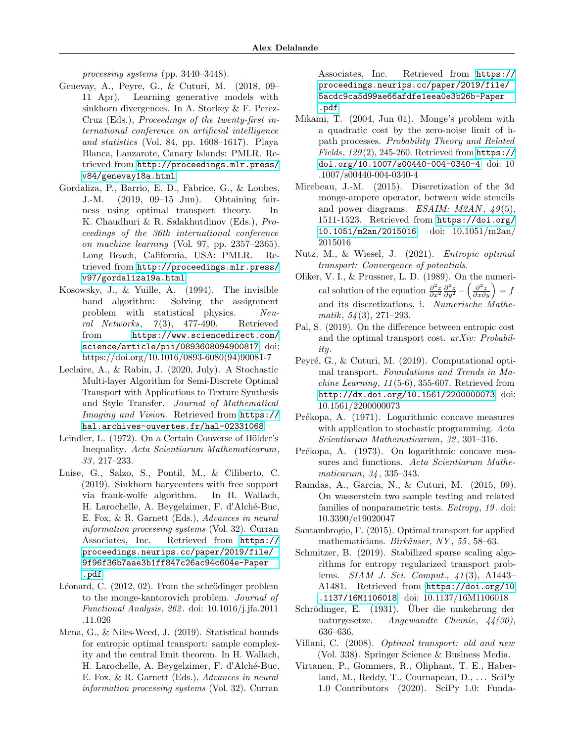processing systems (pp. 3440–3448).

- <span id="page-10-1"></span>Genevay, A., Peyre, G., & Cuturi, M. (2018, 09– 11 Apr). Learning generative models with sinkhorn divergences. In A. Storkey & F. Perez-Cruz (Eds.), Proceedings of the twenty-first international conference on artificial intelligence and statistics (Vol. 84, pp. 1608–1617). Playa Blanca, Lanzarote, Canary Islands: PMLR. Retrieved from [http://proceedings.mlr.press/](http://proceedings.mlr.press/v84/genevay18a.html) [v84/genevay18a.html](http://proceedings.mlr.press/v84/genevay18a.html)
- <span id="page-10-2"></span>Gordaliza, P., Barrio, E. D., Fabrice, G., & Loubes, J.-M. (2019, 09–15 Jun). Obtaining fairness using optimal transport theory. In K. Chaudhuri & R. Salakhutdinov (Eds.), Proceedings of the 36th international conference on machine learning (Vol. 97, pp. 2357–2365). Long Beach, California, USA: PMLR. Retrieved from [http://proceedings.mlr.press/](http://proceedings.mlr.press/v97/gordaliza19a.html) [v97/gordaliza19a.html](http://proceedings.mlr.press/v97/gordaliza19a.html)
- <span id="page-10-15"></span>Kosowsky, J., & Yuille, A. (1994). The invisible hand algorithm: Solving the assignment problem with statistical physics. Neural Networks,  $7(3)$ , 477-490. Retrieved from [https://www.sciencedirect.com/](https://www.sciencedirect.com/science/article/pii/0893608094900817) [science/article/pii/0893608094900817](https://www.sciencedirect.com/science/article/pii/0893608094900817) doi: https://doi.org/10.1016/0893-6080(94)90081-7
- <span id="page-10-14"></span>Leclaire, A., & Rabin, J. (2020, July). A Stochastic Multi-layer Algorithm for Semi-Discrete Optimal Transport with Applications to Texture Synthesis and Style Transfer. Journal of Mathematical Imaging and Vision. Retrieved from [https://](https://hal.archives-ouvertes.fr/hal-02331068) [hal.archives-ouvertes.fr/hal-02331068](https://hal.archives-ouvertes.fr/hal-02331068)
- <span id="page-10-18"></span>Leindler, L. (1972). On a Certain Converse of Hölder's Inequality. Acta Scientiarum Mathematicarum, 33 , 217–233.
- <span id="page-10-16"></span>Luise, G., Salzo, S., Pontil, M., & Ciliberto, C. (2019). Sinkhorn barycenters with free support via frank-wolfe algorithm. In H. Wallach, H. Larochelle, A. Beygelzimer, F. d'Alché-Buc, E. Fox, & R. Garnett (Eds.), Advances in neural information processing systems (Vol. 32). Curran Associates, Inc. Retrieved from [https://](https://proceedings.neurips.cc/paper/2019/file/9f96f36b7aae3b1ff847c26ac94c604e-Paper.pdf) [proceedings.neurips.cc/paper/2019/file/](https://proceedings.neurips.cc/paper/2019/file/9f96f36b7aae3b1ff847c26ac94c604e-Paper.pdf) [9f96f36b7aae3b1ff847c26ac94c604e-Paper](https://proceedings.neurips.cc/paper/2019/file/9f96f36b7aae3b1ff847c26ac94c604e-Paper.pdf) [.pdf](https://proceedings.neurips.cc/paper/2019/file/9f96f36b7aae3b1ff847c26ac94c604e-Paper.pdf)
- <span id="page-10-9"></span>Léonard, C.  $(2012, 02)$ . From the schrödinger problem to the monge-kantorovich problem. Journal of Functional Analysis, 262 . doi: 10.1016/j.jfa.2011 .11.026
- <span id="page-10-7"></span>Mena, G., & Niles-Weed, J. (2019). Statistical bounds for entropic optimal transport: sample complexity and the central limit theorem. In H. Wallach, H. Larochelle, A. Beygelzimer, F. d'Alché-Buc, E. Fox, & R. Garnett (Eds.), Advances in neural information processing systems (Vol. 32). Curran

Associates, Inc. Retrieved from [https://](https://proceedings.neurips.cc/paper/2019/file/5acdc9ca5d99ae66afdfe1eea0e3b26b-Paper.pdf) [proceedings.neurips.cc/paper/2019/file/](https://proceedings.neurips.cc/paper/2019/file/5acdc9ca5d99ae66afdfe1eea0e3b26b-Paper.pdf) [5acdc9ca5d99ae66afdfe1eea0e3b26b-Paper](https://proceedings.neurips.cc/paper/2019/file/5acdc9ca5d99ae66afdfe1eea0e3b26b-Paper.pdf) [.pdf](https://proceedings.neurips.cc/paper/2019/file/5acdc9ca5d99ae66afdfe1eea0e3b26b-Paper.pdf)

- <span id="page-10-8"></span>Mikami, T. (2004, Jun 01). Monge's problem with a quadratic cost by the zero-noise limit of hpath processes. Probability Theory and Related  $Fields, 129(2), 245-260.$  Retrieved from [https://](https://doi.org/10.1007/s00440-004-0340-4) [doi.org/10.1007/s00440-004-0340-4](https://doi.org/10.1007/s00440-004-0340-4) doi: 10 .1007/s00440-004-0340-4
- <span id="page-10-13"></span>Mirebeau, J.-M. (2015). Discretization of the 3d monge-ampere operator, between wide stencils and power diagrams. ESAIM:  $M2AN$ ,  $49(5)$ , 1511-1523. Retrieved from [https://doi.org/](https://doi.org/10.1051/m2an/2015016) [10.1051/m2an/2015016](https://doi.org/10.1051/m2an/2015016) doi: 10.1051/m2an/ 2015016
- <span id="page-10-10"></span>Nutz, M., & Wiesel, J. (2021). Entropic optimal transport: Convergence of potentials.
- <span id="page-10-12"></span>Oliker, V. I., & Prussner, L. D. (1989). On the numerical solution of the equation  $\frac{\partial^2 z}{\partial x^2} \frac{\partial^2 z}{\partial y^2} - \left(\frac{\partial^2 z}{\partial x \partial y}\right) = f$ and its discretizations, i. Numerische Mathe $matik, 54(3), 271-293.$
- <span id="page-10-11"></span>Pal, S. (2019). On the difference between entropic cost and the optimal transport cost. arXiv: Probability.
- <span id="page-10-5"></span>Peyré, G., & Cuturi, M. (2019). Computational optimal transport. Foundations and Trends in Ma $chine\, Learning, 11(5-6), 355-607.$  Retrieved from <http://dx.doi.org/10.1561/2200000073> doi: 10.1561/2200000073
- <span id="page-10-17"></span>Prékopa, A. (1971). Logarithmic concave measures with application to stochastic programming. Acta Scientiarum Mathematicarum, 32 , 301–316.
- <span id="page-10-19"></span>Prékopa, A. (1973). On logarithmic concave measures and functions. Acta Scientiarum Mathematicarum, 34 , 335–343.
- <span id="page-10-3"></span>Ramdas, A., Garcia, N., & Cuturi, M. (2015, 09). On wasserstein two sample testing and related families of nonparametric tests. Entropy, 19 . doi: 10.3390/e19020047
- <span id="page-10-21"></span>Santambrogio, F. (2015). Optimal transport for applied mathematicians. Birkäuser, NY, 55, 58–63.
- <span id="page-10-6"></span>Schmitzer, B. (2019). Stabilized sparse scaling algorithms for entropy regularized transport problems. SIAM J. Sci. Comput., 41 (3), A1443– A1481. Retrieved from [https://doi.org/10](https://doi.org/10.1137/16M1106018) [.1137/16M1106018](https://doi.org/10.1137/16M1106018) doi: 10.1137/16M1106018
- <span id="page-10-4"></span>Schrödinger, E. (1931). Über die umkehrung der naturgesetze. Angewandte Chemie, 44(30), 636–636.
- <span id="page-10-0"></span>Villani, C. (2008). Optimal transport: old and new (Vol. 338). Springer Science & Business Media.
- <span id="page-10-20"></span>Virtanen, P., Gommers, R., Oliphant, T. E., Haberland, M., Reddy, T., Cournapeau, D., ... SciPy 1.0 Contributors (2020). SciPy 1.0: Funda-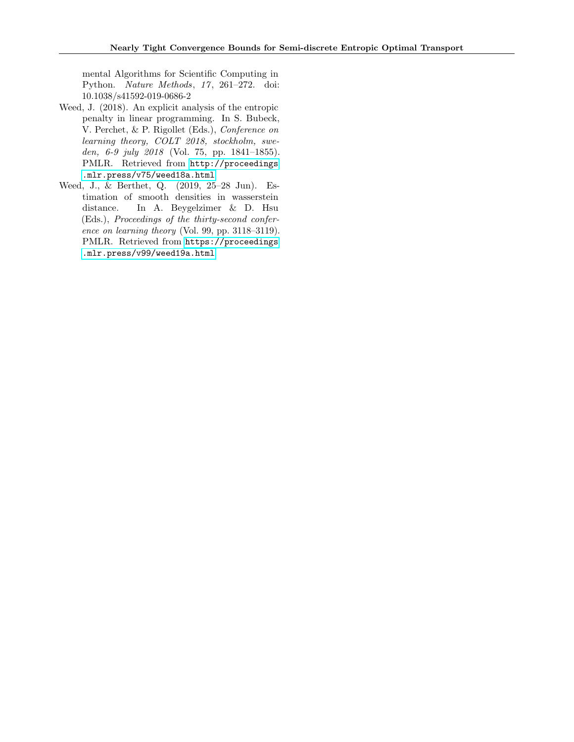mental Algorithms for Scientific Computing in Python. Nature Methods, 17, 261-272. doi: 10.1038/s41592-019-0686-2

- <span id="page-11-1"></span>Weed, J. (2018). An explicit analysis of the entropic penalty in linear programming. In S. Bubeck, V. Perchet, & P. Rigollet (Eds.), Conference on learning theory, COLT 2018, stockholm, sweden, 6-9 july 2018 (Vol. 75, pp. 1841–1855). PMLR. Retrieved from [http://proceedings](http://proceedings.mlr.press/v75/weed18a.html) [.mlr.press/v75/weed18a.html](http://proceedings.mlr.press/v75/weed18a.html)
- <span id="page-11-0"></span>Weed, J., & Berthet, Q. (2019, 25–28 Jun). Estimation of smooth densities in wasserstein distance. In A. Beygelzimer & D. Hsu (Eds.), Proceedings of the thirty-second conference on learning theory (Vol. 99, pp. 3118–3119). PMLR. Retrieved from [https://proceedings](https://proceedings.mlr.press/v99/weed19a.html) [.mlr.press/v99/weed19a.html](https://proceedings.mlr.press/v99/weed19a.html)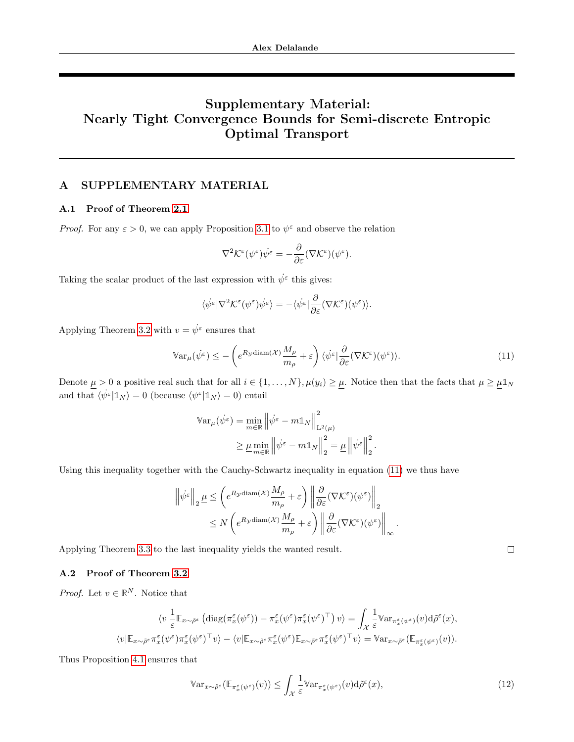# Supplementary Material: Nearly Tight Convergence Bounds for Semi-discrete Entropic Optimal Transport

# A SUPPLEMENTARY MATERIAL

# <span id="page-12-1"></span>A.1 Proof of Theorem [2.1](#page-2-1)

*Proof.* For any  $\varepsilon > 0$ , we can apply Proposition [3.1](#page-4-5) to  $\psi^{\varepsilon}$  and observe the relation

$$
\nabla^2 \mathcal{K}^{\varepsilon}(\psi^{\varepsilon}) \dot{\psi^{\varepsilon}} = -\frac{\partial}{\partial \varepsilon} (\nabla \mathcal{K}^{\varepsilon}) (\psi^{\varepsilon}).
$$

Taking the scalar product of the last expression with  $\psi^{\varepsilon}$  this gives:

$$
\langle \dot{\psi}^{\varepsilon} | \nabla^2 \mathcal{K}^{\varepsilon} (\psi^{\varepsilon}) \dot{\psi}^{\varepsilon} \rangle = - \langle \dot{\psi}^{\varepsilon} | \frac{\partial}{\partial \varepsilon} (\nabla \mathcal{K}^{\varepsilon}) (\psi^{\varepsilon}) \rangle.
$$

Applying Theorem [3.2](#page-4-1) with  $v = \dot{\psi}^{\varepsilon}$  ensures that

$$
\mathbb{V}\text{ar}_{\mu}(\dot{\psi^{\varepsilon}}) \le -\left(e^{R_{\mathcal{Y}}\text{diam}(\mathcal{X})}\frac{M_{\rho}}{m_{\rho}} + \varepsilon\right) \langle \dot{\psi^{\varepsilon}}| \frac{\partial}{\partial \varepsilon} (\nabla \mathcal{K}^{\varepsilon})(\psi^{\varepsilon})\rangle. \tag{11}
$$

<span id="page-12-2"></span>.

Denote  $\underline{\mu} > 0$  a positive real such that for all  $i \in \{1, ..., N\}$ ,  $\mu(y_i) \ge \underline{\mu}$ . Notice then that the facts that  $\mu \ge \underline{\mu} \mathbb{1}_N$ and that  $\langle \dot{\psi}^{\varepsilon} | \mathbb{1}_N \rangle = 0$  (because  $\langle \psi^{\varepsilon} | \mathbb{1}_N \rangle = 0$ ) entail

$$
\begin{aligned} \mathbb{V}\text{ar}_{\mu}(\dot{\psi}^{\varepsilon}) &= \min_{m \in \mathbb{R}} \left\| \dot{\psi}^{\varepsilon} - m \mathbb{1}_{N} \right\|_{\mathcal{L}^{2}(\mu)}^{2} \\ &\geq \underline{\mu} \min_{m \in \mathbb{R}} \left\| \dot{\psi}^{\varepsilon} - m \mathbb{1}_{N} \right\|_{2}^{2} = \underline{\mu} \left\| \dot{\psi}^{\varepsilon} \right\|_{2}^{2} \end{aligned}
$$

Using this inequality together with the Cauchy-Schwartz inequality in equation [\(11\)](#page-12-2) we thus have

$$
\label{eq:psi-epsilon} \begin{split} \left\|\dot{\psi}^\varepsilon\right\|_2 \underline{\mu} &\leq \left(e^{R_{\mathcal{Y}}\text{diam}(\mathcal{X})}\frac{M_\rho}{m_\rho}+\varepsilon\right) \left\|\frac{\partial}{\partial \varepsilon}(\nabla \mathcal{K}^\varepsilon)(\psi^\varepsilon)\right\|_2\\ &\leq N\left(e^{R_{\mathcal{Y}}\text{diam}(\mathcal{X})}\frac{M_\rho}{m_\rho}+\varepsilon\right) \left\|\frac{\partial}{\partial \varepsilon}(\nabla \mathcal{K}^\varepsilon)(\psi^\varepsilon)\right\|_\infty. \end{split}
$$

Applying Theorem [3.3](#page-4-0) to the last inequality yields the wanted result.

# <span id="page-12-0"></span>A.2 Proof of Theorem [3.2](#page-4-1)

*Proof.* Let  $v \in \mathbb{R}^N$ . Notice that

$$
\langle v|\frac{1}{\varepsilon}\mathbb{E}_{x\sim\tilde{\rho}^{\varepsilon}}\left(\mathrm{diag}(\pi_{x}^{\varepsilon}(\psi^{\varepsilon}))-\pi_{x}^{\varepsilon}(\psi^{\varepsilon})\pi_{x}^{\varepsilon}(\psi^{\varepsilon})^{\top}\right)v\rangle = \int_{\mathcal{X}}\frac{1}{\varepsilon}\mathbb{V}\mathrm{ar}_{\pi_{x}^{\varepsilon}(\psi^{\varepsilon})}(v)\mathrm{d}\tilde{\rho}^{\varepsilon}(x),
$$

$$
\langle v|\mathbb{E}_{x\sim\tilde{\rho}^{\varepsilon}}\pi_{x}^{\varepsilon}(\psi^{\varepsilon})\pi_{x}^{\varepsilon}(\psi^{\varepsilon})^{\top}v\rangle - \langle v|\mathbb{E}_{x\sim\tilde{\rho}^{\varepsilon}}\pi_{x}^{\varepsilon}(\psi^{\varepsilon})\mathbb{E}_{x\sim\tilde{\rho}^{\varepsilon}}\pi_{x}^{\varepsilon}(\psi^{\varepsilon})^{\top}v\rangle = \mathbb{V}\mathrm{ar}_{x\sim\tilde{\rho}^{\varepsilon}}(\mathbb{E}_{\pi_{x}^{\varepsilon}(\psi^{\varepsilon})}(v)).
$$

Thus Proposition [4.1](#page-5-1) ensures that

<span id="page-12-3"></span>
$$
\mathbb{V}\mathrm{ar}_{x \sim \tilde{\rho}^{\varepsilon}}(\mathbb{E}_{\pi_x^{\varepsilon}(\psi^{\varepsilon})}(v)) \leq \int_{\mathcal{X}} \frac{1}{\varepsilon} \mathbb{V}\mathrm{ar}_{\pi_x^{\varepsilon}(\psi^{\varepsilon})}(v) d\tilde{\rho}^{\varepsilon}(x),\tag{12}
$$

 $\Box$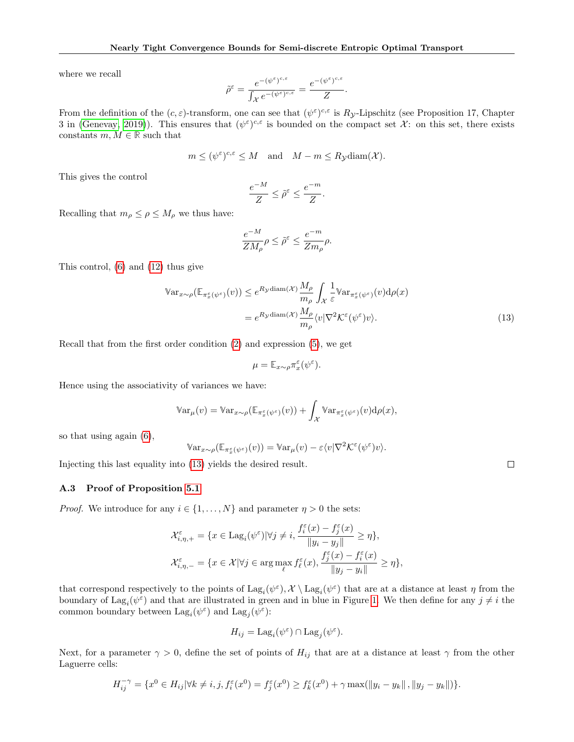where we recall

$$
\tilde{\rho}^{\varepsilon}=\frac{e^{-(\psi^{\varepsilon})^{c,\varepsilon}}}{\int_{\mathcal{X}}e^{-(\psi^{\varepsilon})^{c,\varepsilon}}}=\frac{e^{-(\psi^{\varepsilon})^{c,\varepsilon}}}{Z}
$$

From the definition of the  $(c, \varepsilon)$ -transform, one can see that  $(\psi^{\varepsilon})^{c,\varepsilon}$  is  $R_{\mathcal{Y}}$ -Lipschitz (see Proposition 17, Chapter 3 in [\(Genevay, 2019\)](#page-9-19)). This ensures that  $(\psi^{\varepsilon})^{c,\varepsilon}$  is bounded on the compact set X: on this set, there exists constants  $m, M \in \mathbb{R}$  such that

$$
m \leq (\psi^{\varepsilon})^{c,\varepsilon} \leq M
$$
 and  $M - m \leq R_{\mathcal{Y}} \text{diam}(\mathcal{X}).$ 

This gives the control

$$
\frac{e^{-M}}{Z} \leq \tilde{\rho}^\varepsilon \leq \frac{e^{-m}}{Z}.
$$

Recalling that  $m_{\rho} \leq \rho \leq M_{\rho}$  we thus have:

$$
\frac{e^{-M}}{ZM_{\rho}}\rho \leq \tilde{\rho}^{\varepsilon} \leq \frac{e^{-m}}{Zm_{\rho}}\rho.
$$

This control, [\(6\)](#page-4-6) and [\(12\)](#page-12-3) thus give

$$
\mathbb{V}\text{ar}_{x \sim \rho}(\mathbb{E}_{\pi_x^{\varepsilon}(\psi^{\varepsilon})}(v)) \le e^{R_{\mathcal{Y}} \text{diam}(\mathcal{X})} \frac{M_{\rho}}{m_{\rho}} \int_{\mathcal{X}} \frac{1}{\varepsilon} \mathbb{V}\text{ar}_{\pi_x^{\varepsilon}(\psi^{\varepsilon})}(v) d\rho(x)
$$

$$
= e^{R_{\mathcal{Y}} \text{diam}(\mathcal{X})} \frac{M_{\rho}}{m_{\rho}} \langle v | \nabla^2 \mathcal{K}^{\varepsilon}(\psi^{\varepsilon}) v \rangle. \tag{13}
$$

<span id="page-13-1"></span> $\Box$ 

.

Recall that from the first order condition [\(2\)](#page-2-2) and expression [\(5\)](#page-4-7), we get

$$
\mu = \mathbb{E}_{x \sim \rho} \pi_x^{\varepsilon}(\psi^{\varepsilon}).
$$

Hence using the associativity of variances we have:

$$
\mathbb{V}\mathrm{ar}_{\mu}(v) = \mathbb{V}\mathrm{ar}_{x \sim \rho}(\mathbb{E}_{\pi_x^{\varepsilon}(\psi^{\varepsilon})}(v)) + \int_{\mathcal{X}} \mathbb{V}\mathrm{ar}_{\pi_x^{\varepsilon}(\psi^{\varepsilon})}(v) d\rho(x),
$$

so that using again [\(6\)](#page-4-6),

$$
\mathbb{V}\mathrm{ar}_{x \sim \rho}(\mathbb{E}_{\pi_x^{\varepsilon}(\psi^{\varepsilon})}(v)) = \mathbb{V}\mathrm{ar}_{\mu}(v) - \varepsilon \langle v | \nabla^2 \mathcal{K}^{\varepsilon}(\psi^{\varepsilon}) v \rangle.
$$

Injecting this last equality into [\(13\)](#page-13-1) yields the desired result.

#### <span id="page-13-0"></span>A.3 Proof of Proposition [5.1](#page-6-1)

*Proof.* We introduce for any  $i \in \{1, ..., N\}$  and parameter  $\eta > 0$  the sets:

$$
\begin{aligned} \mathcal{X}_{i,\eta,+}^{\varepsilon} &= \{x \in \mathrm{Lag}_i(\psi^{\varepsilon}) | \forall j \neq i, \frac{f_i^{\varepsilon}(x) - f_j^{\varepsilon}(x)}{\|y_i - y_j\|} \geq \eta\}, \\ \mathcal{X}_{i,\eta,-}^{\varepsilon} &= \{x \in \mathcal{X} | \forall j \in \arg\max_{\ell} f_{\ell}^{\varepsilon}(x), \frac{f_j^{\varepsilon}(x) - f_i^{\varepsilon}(x)}{\|y_j - y_i\|} \geq \eta\}, \end{aligned}
$$

that correspond respectively to the points of  $\text{Lag}_i(\psi^{\varepsilon}), \mathcal{X} \setminus \text{Lag}_i(\psi^{\varepsilon})$  that are at a distance at least  $\eta$  from the boundary of  $\text{Lag}_i(\psi^{\varepsilon})$  and that are illustrated in green and in blue in Figure [1.](#page-6-3) We then define for any  $j \neq i$  the common boundary between  $\text{Lag}_i(\psi^\varepsilon)$  and  $\text{Lag}_j(\psi^\varepsilon)$ :

$$
H_{ij} = \text{Lag}_i(\psi^{\varepsilon}) \cap \text{Lag}_j(\psi^{\varepsilon}).
$$

Next, for a parameter  $\gamma > 0$ , define the set of points of  $H_{ij}$  that are at a distance at least  $\gamma$  from the other Laguerre cells:

$$
H_{ij}^{-\gamma} = \{x^0 \in H_{ij} | \forall k \neq i, j, f_i^{\varepsilon}(x^0) = f_j^{\varepsilon}(x^0) \geq f_k^{\varepsilon}(x^0) + \gamma \max(||y_i - y_k||, ||y_j - y_k||)\}.
$$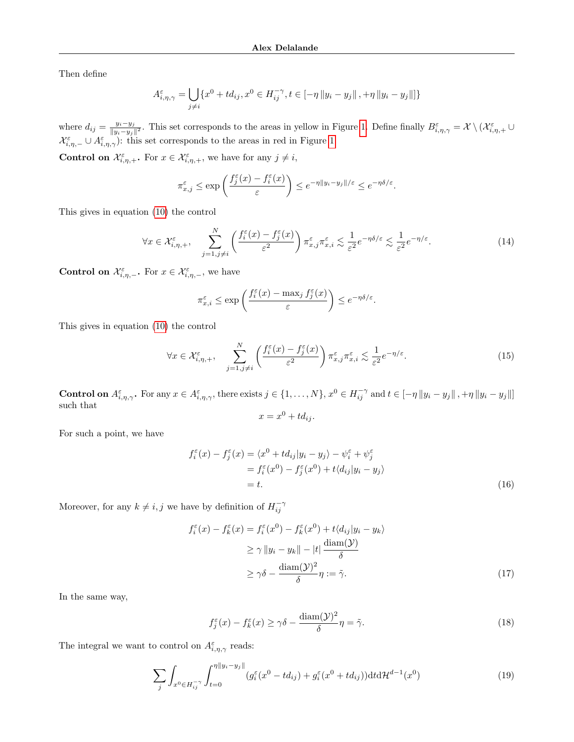Then define

$$
A_{i,\eta,\gamma}^{\varepsilon} = \bigcup_{j \neq i} \{x^0 + td_{ij}, x^0 \in H_{ij}^{-\gamma}, t \in [-\eta \|y_i - y_j\|, +\eta \|y_i - y_j\|] \}
$$

where  $d_{ij} = \frac{y_i - y_j}{\|y_i - y_j\|}$  $\frac{y_i-y_j}{\|y_i-y_j\|^2}$ . This set corresponds to the areas in yellow in Figure [1.](#page-6-3) Define finally  $B_{i,\eta,\gamma}^{\varepsilon} = \mathcal{X} \setminus (\mathcal{X}_{i,\eta,+}^{\varepsilon} \cup$  $\mathcal{X}_{i,\eta,-}^{\varepsilon} \cup A_{i,\eta,\gamma}^{\varepsilon}$ : this set corresponds to the areas in red in Figure [1.](#page-6-3)

**Control on**  $\mathcal{X}_{i,\eta,+}^{\varepsilon}$ . For  $x \in \mathcal{X}_{i,\eta,+}^{\varepsilon}$ , we have for any  $j \neq i$ ,

$$
\pi^{\varepsilon}_{x,j} \leq \exp\left(\frac{f^{\varepsilon}_j(x)-f^{\varepsilon}_i(x)}{\varepsilon}\right) \leq e^{-\eta \|y_i-y_j\|/\varepsilon} \leq e^{-\eta\delta/\varepsilon}.
$$

This gives in equation [\(10\)](#page-6-2) the control

<span id="page-14-4"></span>
$$
\forall x \in \mathcal{X}_{i,\eta,+}^{\varepsilon}, \quad \sum_{j=1,j\neq i}^{N} \left( \frac{f_i^{\varepsilon}(x) - f_j^{\varepsilon}(x)}{\varepsilon^2} \right) \pi_{x,j}^{\varepsilon} \pi_{x,i}^{\varepsilon} \lesssim \frac{1}{\varepsilon^2} e^{-\eta \delta/\varepsilon} \lesssim \frac{1}{\varepsilon^2} e^{-\eta/\varepsilon}.
$$
 (14)

**Control on**  $\mathcal{X}_{i,\eta,-}^{\varepsilon}$ . For  $x \in \mathcal{X}_{i,\eta,-}^{\varepsilon}$ , we have

$$
\pi^{\varepsilon}_{x,i} \leq \exp\left(\frac{f^{\varepsilon}_{i}(x) - \max_{j} f^{\varepsilon}_{j}(x)}{\varepsilon}\right) \leq e^{-\eta\delta/\varepsilon}.
$$

This gives in equation [\(10\)](#page-6-2) the control

$$
\forall x \in \mathcal{X}_{i,\eta,+}^{\varepsilon}, \quad \sum_{j=1,j\neq i}^{N} \left( \frac{f_i^{\varepsilon}(x) - f_j^{\varepsilon}(x)}{\varepsilon^2} \right) \pi_{x,j}^{\varepsilon} \pi_{x,i}^{\varepsilon} \lesssim \frac{1}{\varepsilon^2} e^{-\eta/\varepsilon}.
$$
 (15)

**Control on**  $A^{\varepsilon}_{i,\eta,\gamma}$ . For any  $x \in A^{\varepsilon}_{i,\eta,\gamma}$ , there exists  $j \in \{1,\ldots,N\}$ ,  $x^0 \in H^{-\gamma}_{ij}$  and  $t \in [-\eta \|y_i - y_j\|, +\eta \|y_i - y_j\|]$ such that

<span id="page-14-5"></span><span id="page-14-1"></span><span id="page-14-0"></span>
$$
x = x^0 + td_{ij}.
$$

For such a point, we have

$$
f_i^{\varepsilon}(x) - f_j^{\varepsilon}(x) = \langle x^0 + td_{ij} | y_i - y_j \rangle - \psi_i^{\varepsilon} + \psi_j^{\varepsilon}
$$
  
= 
$$
f_i^{\varepsilon}(x^0) - f_j^{\varepsilon}(x^0) + t \langle d_{ij} | y_i - y_j \rangle
$$
  
= t. (16)

Moreover, for any  $k \neq i, j$  we have by definition of  $H_{ij}^{-\gamma}$ 

$$
f_i^{\varepsilon}(x) - f_k^{\varepsilon}(x) = f_i^{\varepsilon}(x^0) - f_k^{\varepsilon}(x^0) + t \langle d_{ij} | y_i - y_k \rangle
$$
  
\n
$$
\geq \gamma \| y_i - y_k \| - |t| \frac{\text{diam}(\mathcal{Y})}{\delta}
$$
  
\n
$$
\geq \gamma \delta - \frac{\text{diam}(\mathcal{Y})^2}{\delta} \eta := \tilde{\gamma}.
$$
 (17)

In the same way,

<span id="page-14-3"></span><span id="page-14-2"></span>
$$
f_j^{\varepsilon}(x) - f_k^{\varepsilon}(x) \ge \gamma \delta - \frac{\text{diam}(\mathcal{Y})^2}{\delta} \eta = \tilde{\gamma}.
$$
 (18)

The integral we want to control on  $A_{i,\eta,\gamma}^{\varepsilon}$  reads:

$$
\sum_{j} \int_{x^0 \in H_{ij}^{-\gamma}} \int_{t=0}^{\eta \|y_i - y_j\|} (g_i^{\varepsilon}(x^0 + td_{ij}) + g_i^{\varepsilon}(x^0 + td_{ij})) \mathrm{d}t \mathrm{d}t^{d-1}(x^0) \tag{19}
$$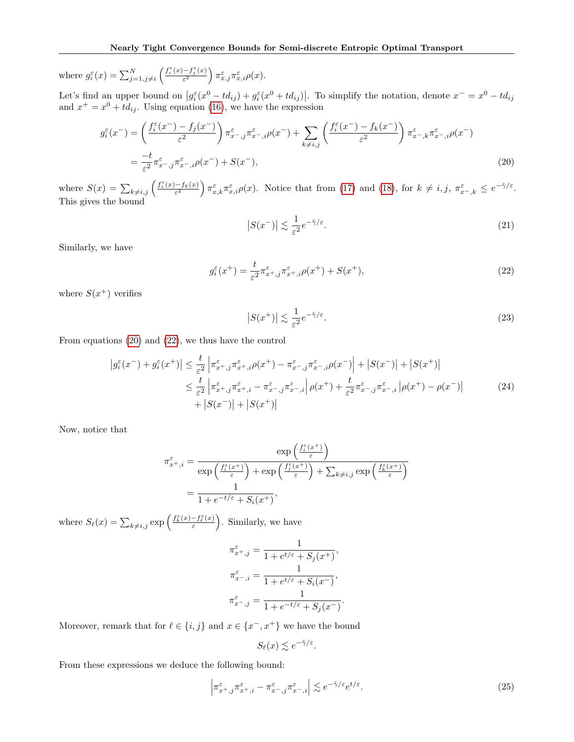where  $g_i^{\varepsilon}(x) = \sum_{j=1, j\neq i}^{N} \left( \frac{f_i^{\varepsilon}(x) - f_j^{\varepsilon}(x)}{\varepsilon^2} \right)$  $\left( \frac{-f_j^\varepsilon(x)}{\varepsilon^2} \right) \pi^\varepsilon_{x,j} \pi^\varepsilon_{x,i} \rho(x).$ 

Let's find an upper bound on  $|g_i^{\varepsilon}(x^0 + td_{ij}) + g_i^{\varepsilon}(x^0 + td_{ij})|$ . To simplify the notation, denote  $x^{-} = x^0 - td_{ij}$ and  $x^+ = x^0 + td_{ij}$ . Using equation [\(16\)](#page-14-0), we have the expression

$$
g_i^{\varepsilon}(x^-) = \left(\frac{f_i^{\varepsilon}(x^-) - f_j(x^-)}{\varepsilon^2}\right) \pi_{x-,j}^{\varepsilon} \pi_{x-,j}^{\varepsilon} \mu(x^-) + \sum_{k \neq i,j} \left(\frac{f_i^{\varepsilon}(x^-) - f_k(x^-)}{\varepsilon^2}\right) \pi_{x-,k}^{\varepsilon} \pi_{x-,i}^{\varepsilon} \rho(x^-)
$$
  

$$
= \frac{-t}{\varepsilon^2} \pi_{x-,j}^{\varepsilon} \pi_{x-,i}^{\varepsilon} \rho(x^-) + S(x^-), \tag{20}
$$

where  $S(x) = \sum_{k \neq i,j} \left( \frac{f_i^{\varepsilon}(x) - f_k(x)}{\varepsilon^2} \right) \pi_{x,k}^{\varepsilon} \pi_{x,i}^{\varepsilon} \rho(x)$ . Notice that from [\(17\)](#page-14-1) and [\(18\)](#page-14-2), for  $k \neq i, j, \pi_{x-k}^{\varepsilon} \leq e^{-\tilde{\gamma}/\varepsilon}$ . This gives the bound

<span id="page-15-2"></span><span id="page-15-1"></span><span id="page-15-0"></span>
$$
|S(x^{-})| \lesssim \frac{1}{\varepsilon^2} e^{-\tilde{\gamma}/\varepsilon}.\tag{21}
$$

Similarly, we have

$$
g_i^{\varepsilon}(x^+) = \frac{t}{\varepsilon^2} \pi_{x^+,j}^{\varepsilon} \pi_{x^+,i}^{\varepsilon} \rho(x^+) + S(x^+), \tag{22}
$$

where  $S(x^+)$  verifies

<span id="page-15-5"></span><span id="page-15-3"></span>
$$
|S(x^+)| \lesssim \frac{1}{\varepsilon^2} e^{-\tilde{\gamma}/\varepsilon}.\tag{23}
$$

From equations [\(20\)](#page-15-0) and [\(22\)](#page-15-1), we thus have the control

$$
\left| g_i^{\varepsilon}(x^{-}) + g_i^{\varepsilon}(x^{+}) \right| \leq \frac{t}{\varepsilon^2} \left| \pi_{x^+,j}^{\varepsilon} \pi_{x^+,i}^{\varepsilon} \rho(x^{+}) - \pi_{x^-,j}^{\varepsilon} \pi_{x^-,i}^{\varepsilon} \rho(x^{-}) \right| + \left| S(x^{-}) \right| + \left| S(x^{+}) \right|
$$
  

$$
\leq \frac{t}{\varepsilon^2} \left| \pi_{x^+,j}^{\varepsilon} \pi_{x^+,i}^{\varepsilon} - \pi_{x^-,j}^{\varepsilon} \pi_{x^-,i}^{\varepsilon} \right| \rho(x^{+}) + \frac{t}{\varepsilon^2} \pi_{x^-,j}^{\varepsilon} \pi_{x^-,i}^{\varepsilon} \left| \rho(x^{+}) - \rho(x^{-}) \right|
$$
  

$$
+ \left| S(x^{-}) \right| + \left| S(x^{+}) \right|
$$
 (24)

Now, notice that

$$
\pi_{x^+,i}^{\varepsilon} = \frac{\exp\left(\frac{f_i^{\varepsilon}(x^+)}{\varepsilon}\right)}{\exp\left(\frac{f_i^{\varepsilon}(x^+)}{\varepsilon}\right) + \exp\left(\frac{f_j^{\varepsilon}(x^+)}{\varepsilon}\right) + \sum_{k \neq i,j} \exp\left(\frac{f_k^{\varepsilon}(x^+)}{\varepsilon}\right)}
$$

$$
= \frac{1}{1 + e^{-t/\varepsilon} + S_i(x^+)},
$$

where  $S_{\ell}(x) = \sum_{k \neq i,j} \exp \left( \frac{f_k^{\varepsilon}(x) - f_{\ell}^{\varepsilon}(x)}{\varepsilon} \right)$  $\left( \frac{-f_{\ell}^{\varepsilon}(x)}{\varepsilon}\right)$ . Similarly, we have

$$
\pi_{x^+,j}^{\varepsilon} = \frac{1}{1 + e^{t/\varepsilon} + S_j(x^+)},
$$

$$
\pi_{x^-,i}^{\varepsilon} = \frac{1}{1 + e^{t/\varepsilon} + S_i(x^-)},
$$

$$
\pi_{x^-,j}^{\varepsilon} = \frac{1}{1 + e^{-t/\varepsilon} + S_j(x^-)}.
$$

Moreover, remark that for  $\ell \in \{i, j\}$  and  $x \in \{x^-, x^+\}$  we have the bound

<span id="page-15-4"></span>
$$
S_{\ell}(x) \lesssim e^{-\tilde{\gamma}/\varepsilon}.
$$

From these expressions we deduce the following bound:

$$
\left|\pi_{x^+,j}^{\varepsilon}\pi_{x^+,i}^{\varepsilon} - \pi_{x^-,j}^{\varepsilon}\pi_{x^-,i}^{\varepsilon}\right| \lesssim e^{-\tilde{\gamma}/\varepsilon}e^{t/\varepsilon}.\tag{25}
$$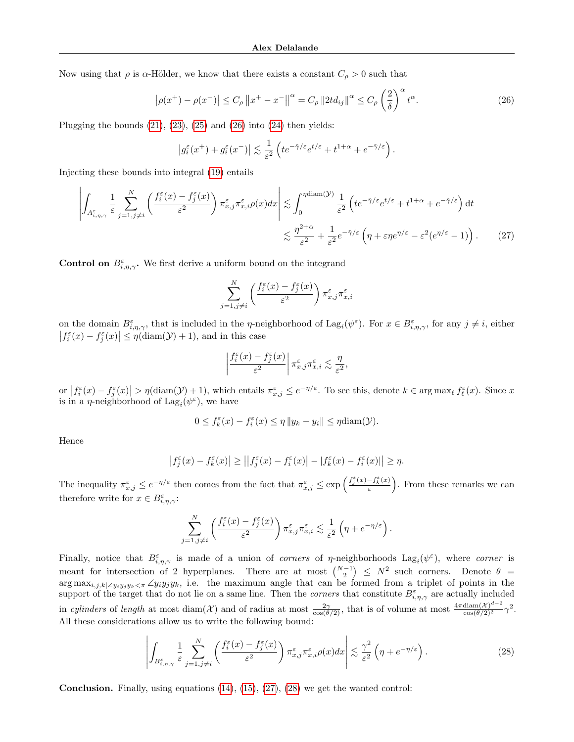Now using that  $\rho$  is  $\alpha$ -Hölder, we know that there exists a constant  $C_{\rho} > 0$  such that

$$
\left|\rho(x^{+}) - \rho(x^{-})\right| \le C_{\rho} \|x^{+} - x^{-}\|^{\alpha} = C_{\rho} \|2t d_{ij}\|^{\alpha} \le C_{\rho} \left(\frac{2}{\delta}\right)^{\alpha} t^{\alpha}.
$$
 (26)

Plugging the bounds  $(21)$ ,  $(23)$ ,  $(25)$  and  $(26)$  into  $(24)$  then yields:

<span id="page-16-0"></span>
$$
\left|g_i^\varepsilon(x^+) + g_i^\varepsilon(x^-)\right| \lesssim \frac{1}{\varepsilon^2} \left( t e^{-\tilde{\gamma}/\varepsilon} e^{t/\varepsilon} + t^{1+\alpha} + e^{-\tilde{\gamma}/\varepsilon} \right).
$$

Injecting these bounds into integral [\(19\)](#page-14-3) entails

$$
\left| \int_{A_{i,\eta,\gamma}^{\varepsilon}} \frac{1}{\varepsilon} \sum_{j=1,j\neq i}^{N} \left( \frac{f_i^{\varepsilon}(x) - f_j^{\varepsilon}(x)}{\varepsilon^2} \right) \pi_{x,j}^{\varepsilon} \pi_{x,i}^{\varepsilon} \rho(x) dx \right| \lesssim \int_{0}^{\eta \text{diam}(\mathcal{Y})} \frac{1}{\varepsilon^2} \left( t e^{-\tilde{\gamma}/\varepsilon} e^{t/\varepsilon} + t^{1+\alpha} + e^{-\tilde{\gamma}/\varepsilon} \right) dt
$$
  

$$
\lesssim \frac{\eta^{2+\alpha}}{\varepsilon^2} + \frac{1}{\varepsilon^2} e^{-\tilde{\gamma}/\varepsilon} \left( \eta + \varepsilon \eta e^{\eta/\varepsilon} - \varepsilon^2 (e^{\eta/\varepsilon} - 1) \right). \tag{27}
$$

**Control on**  $B_{i,\eta,\gamma}^{\varepsilon}$ . We first derive a uniform bound on the integrand

<span id="page-16-1"></span>
$$
\sum_{j=1,j\neq i}^{N} \left( \frac{f_i^{\varepsilon}(x)-f_j^{\varepsilon}(x)}{\varepsilon^2} \right) \pi_{x,j}^{\varepsilon} \pi_{x,i}^{\varepsilon}
$$

on the domain  $B_{i,\eta,\gamma}^{\varepsilon}$ , that is included in the *η*-neighborhood of Lag<sub>i</sub>( $\psi^{\varepsilon}$ ). For  $x \in B_{i,\eta,\gamma}^{\varepsilon}$ , for any  $j \neq i$ , either  $|f_i^{\varepsilon}(x) - f_j^{\varepsilon}(x)| \leq \eta(\text{diam}(\mathcal{Y}) + 1)$ , and in this case

$$
\left| \frac{f_i^{\varepsilon}(x) - f_j^{\varepsilon}(x)}{\varepsilon^2} \right| \pi_{x,j}^{\varepsilon} \pi_{x,i}^{\varepsilon} \lesssim \frac{\eta}{\varepsilon^2},
$$

or  $|f_i^{\varepsilon}(x) - f_j^{\varepsilon}(x)| > \eta(\text{diam}(\mathcal{Y}) + 1)$ , which entails  $\pi_{x,j}^{\varepsilon} \leq e^{-\eta/\varepsilon}$ . To see this, denote  $k \in \arg \max_{\ell} f_{\ell}^{\varepsilon}(x)$ . Since x is in a  $\eta$ -neighborhood of  $\text{Lag}_i(\psi^\varepsilon)$ , we have

$$
0 \le f_k^{\varepsilon}(x) - f_i^{\varepsilon}(x) \le \eta \|y_k - y_i\| \le \eta \text{diam}(\mathcal{Y}).
$$

Hence

$$
\left|f_j^{\varepsilon}(x) - f_k^{\varepsilon}(x)\right| \ge \left|\left|f_j^{\varepsilon}(x) - f_i^{\varepsilon}(x)\right| - |f_k^{\varepsilon}(x) - f_i^{\varepsilon}(x)|\right| \ge \eta.
$$

The inequality  $\pi_{x,j}^{\varepsilon} \leq e^{-\eta/\varepsilon}$  then comes from the fact that  $\pi_{x,j}^{\varepsilon} \leq \exp\left(\frac{f_j^{\varepsilon}(x) - f_k^{\varepsilon}(x)}{\varepsilon}\right)$  $\left( \frac{-f_k^{\varepsilon}(x)}{\varepsilon} \right)$ . From these remarks we can therefore write for  $x \in B_{i,\eta,\gamma}^{\varepsilon}$ :

<span id="page-16-2"></span>
$$
\sum_{j=1,j\neq i}^N \left( \frac{f_i^{\varepsilon}(x)-f_j^{\varepsilon}(x)}{\varepsilon^2} \right) \pi_{x,j}^{\varepsilon} \pi_{x,i}^{\varepsilon} \lesssim \frac{1}{\varepsilon^2} \left( \eta + e^{-\eta/\varepsilon} \right).
$$

Finally, notice that  $B_{i,\eta,\gamma}^{\varepsilon}$  is made of a union of *corners* of *η*-neighborhoods  $\text{Lag}_i(\psi^{\varepsilon})$ , where *corner* is meant for intersection of 2 hyperplanes. There are at most  $\binom{N-1}{2}$   $\leq N^2$  such corners. Denote  $\theta$  =  $\arg \max_{i,j,k|\angle y_iy_jy_k\leq \pi} \angle y_iy_jy_k$ , i.e. the maximum angle that can be formed from a triplet of points in the support of the target that do not lie on a same line. Then the *corners* that constitute  $B_{i,\eta,\gamma}^{\varepsilon}$  are actually included in cylinders of length at most diam(X) and of radius at most  $\frac{2\gamma}{\cos(\theta/2)}$ , that is of volume at most  $\frac{4\pi\text{diam}(X)^{d-2}}{\cos(\theta/2)^2}\gamma^2$ . All these considerations allow us to write the following bound:

$$
\left| \int_{B_{i,\eta,\gamma}^{\varepsilon}} \frac{1}{\varepsilon} \sum_{j=1,j\neq i}^{N} \left( \frac{f_i^{\varepsilon}(x) - f_j^{\varepsilon}(x)}{\varepsilon^2} \right) \pi_{x,j}^{\varepsilon} \pi_{x,i}^{\varepsilon} \rho(x) dx \right| \lesssim \frac{\gamma^2}{\varepsilon^2} \left( \eta + e^{-\eta/\varepsilon} \right). \tag{28}
$$

**Conclusion.** Finally, using equations  $(14)$ ,  $(15)$ ,  $(27)$ ,  $(28)$  we get the wanted control: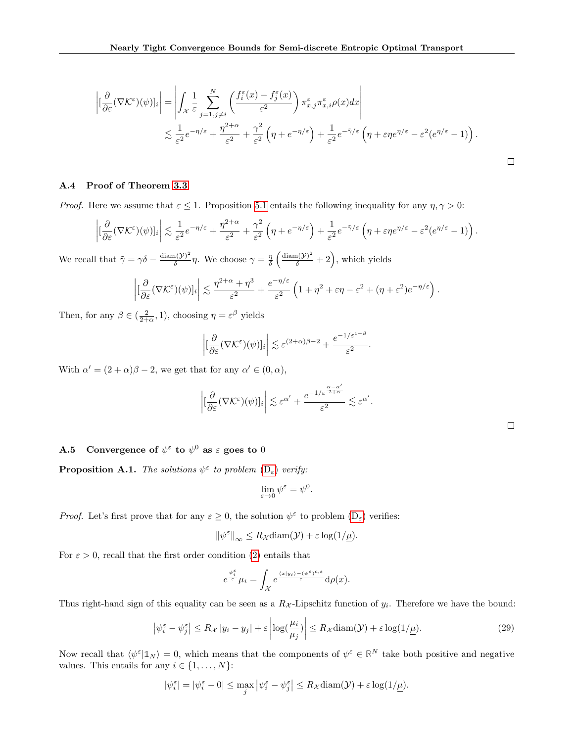$$
\left| \left[ \frac{\partial}{\partial \varepsilon} (\nabla \mathcal{K}^{\varepsilon})(\psi) \right]_i \right| = \left| \int_{\mathcal{X}} \frac{1}{\varepsilon} \sum_{j=1, j \neq i}^N \left( \frac{f_i^{\varepsilon}(x) - f_j^{\varepsilon}(x)}{\varepsilon^2} \right) \pi_{x,j}^{\varepsilon} \pi_{x,i}^{\varepsilon} \rho(x) dx \right|
$$
  

$$
\lesssim \frac{1}{\varepsilon^2} e^{-\eta/\varepsilon} + \frac{\eta^{2+\alpha}}{\varepsilon^2} + \frac{\gamma^2}{\varepsilon^2} \left( \eta + e^{-\eta/\varepsilon} \right) + \frac{1}{\varepsilon^2} e^{-\tilde{\gamma}/\varepsilon} \left( \eta + \varepsilon \eta e^{\eta/\varepsilon} - \varepsilon^2 (e^{\eta/\varepsilon} - 1) \right).
$$

## <span id="page-17-0"></span>A.4 Proof of Theorem [3.3](#page-4-0)

*Proof.* Here we assume that  $\varepsilon \leq 1$ . Proposition [5.1](#page-6-1) entails the following inequality for any  $\eta, \gamma > 0$ :

$$
\left| \left[ \frac{\partial}{\partial \varepsilon} (\nabla \mathcal{K}^{\varepsilon})(\psi) \right]_i \right| \lesssim \frac{1}{\varepsilon^2} e^{-\eta/\varepsilon} + \frac{\eta^{2+\alpha}}{\varepsilon^2} + \frac{\gamma^2}{\varepsilon^2} \left( \eta + e^{-\eta/\varepsilon} \right) + \frac{1}{\varepsilon^2} e^{-\tilde{\gamma}/\varepsilon} \left( \eta + \varepsilon \eta e^{\eta/\varepsilon} - \varepsilon^2 (e^{\eta/\varepsilon} - 1) \right).
$$

We recall that  $\tilde{\gamma} = \gamma \delta - \frac{\text{diam}(\mathcal{Y})^2}{\delta}$  $\frac{(\lambda)^2}{\delta} \eta$ . We choose  $\gamma = \frac{\eta}{\delta} \left( \frac{\text{diam}(\mathcal{Y})^2}{\delta} + 2 \right)$ , which yields

$$
\left| \left[ \frac{\partial}{\partial \varepsilon} (\nabla \mathcal{K}^{\varepsilon})(\psi) \right]_i \right| \lesssim \frac{\eta^{2+\alpha} + \eta^3}{\varepsilon^2} + \frac{e^{-\eta/\varepsilon}}{\varepsilon^2} \left( 1 + \eta^2 + \varepsilon \eta - \varepsilon^2 + (\eta + \varepsilon^2) e^{-\eta/\varepsilon} \right)
$$

Then, for any  $\beta \in (\frac{2}{2+\alpha}, 1)$ , choosing  $\eta = \varepsilon^{\beta}$  yields

$$
\left| \left[ \frac{\partial}{\partial \varepsilon} (\nabla \mathcal{K}^{\varepsilon})(\psi) \right]_i \right| \lesssim \varepsilon^{(2+\alpha)\beta - 2} + \frac{e^{-1/\varepsilon^{1-\beta}}}{\varepsilon^2}.
$$

With  $\alpha' = (2 + \alpha)\beta - 2$ , we get that for any  $\alpha' \in (0, \alpha)$ ,

$$
\left| \left[ \frac{\partial}{\partial \varepsilon} (\nabla \mathcal{K}^{\varepsilon})(\psi) \right]_i \right| \lesssim \varepsilon^{\alpha'} + \frac{e^{-1/\varepsilon^{\frac{\alpha - \alpha'}{2 + \alpha}}}}{\varepsilon^2} \lesssim \varepsilon^{\alpha'}.
$$

|  | <b>A.5</b> Convergence of $\psi^{\varepsilon}$ to $\psi^0$ as $\varepsilon$ goes to 0 |  |  |  |  |  |
|--|---------------------------------------------------------------------------------------|--|--|--|--|--|
|--|---------------------------------------------------------------------------------------|--|--|--|--|--|

<span id="page-17-2"></span>**Proposition A.1.** The solutions  $\psi^{\varepsilon}$  to problem  $(D_{\varepsilon})$  $(D_{\varepsilon})$  verify:

$$
\lim_{\varepsilon \to 0} \psi^{\varepsilon} = \psi^0.
$$

*Proof.* Let's first prove that for any  $\varepsilon \geq 0$ , the solution  $\psi^{\varepsilon}$  to problem  $(D_{\varepsilon})$  $(D_{\varepsilon})$  verifies:

$$
\|\psi^{\varepsilon}\|_{\infty} \leq R_{\mathcal{X}} \operatorname{diam}(\mathcal{Y}) + \varepsilon \log(1/\underline{\mu}).
$$

For  $\varepsilon > 0$ , recall that the first order condition [\(2\)](#page-2-2) entails that

$$
e^{\frac{\psi_{\tilde{\epsilon}}^{\varepsilon}}{\varepsilon}}\mu_i=\int_{\mathcal{X}}e^{\frac{\langle x|y_i\rangle-(\psi^{\varepsilon})^{c,\varepsilon}}{\varepsilon}}\mathrm{d}\rho(x).
$$

Thus right-hand sign of this equality can be seen as a  $R_{\mathcal{X}}$ -Lipschitz function of  $y_i$ . Therefore we have the bound:

<span id="page-17-1"></span>
$$
\left|\psi_i^{\varepsilon} - \psi_j^{\varepsilon}\right| \le R_{\mathcal{X}} \left|y_i - y_j\right| + \varepsilon \left|\log\left(\frac{\mu_i}{\mu_j}\right)\right| \le R_{\mathcal{X}} \operatorname{diam}(\mathcal{Y}) + \varepsilon \log(1/\underline{\mu}).\tag{29}
$$

Now recall that  $\langle \psi^{\varepsilon} | \mathbb{1}_N \rangle = 0$ , which means that the components of  $\psi^{\varepsilon} \in \mathbb{R}^N$  take both positive and negative values. This entails for any  $i \in \{1, \ldots, N\}$ :

$$
|\psi_i^{\varepsilon}| = |\psi_i^{\varepsilon} - 0| \le \max_j |\psi_i^{\varepsilon} - \psi_j^{\varepsilon}| \le R_{\mathcal{X}} \operatorname{diam}(\mathcal{Y}) + \varepsilon \log(1/\underline{\mu}).
$$

 $\Box$ 

.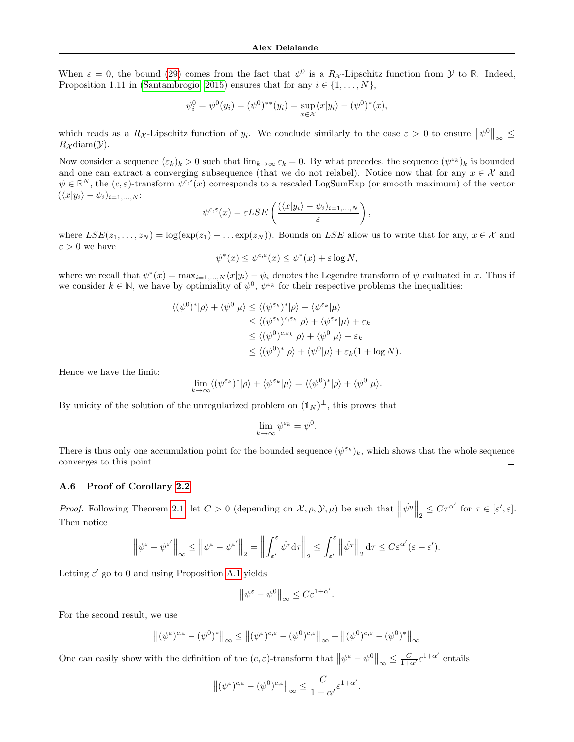When  $\varepsilon = 0$ , the bound [\(29\)](#page-17-1) comes from the fact that  $\psi^0$  is a  $R_{\mathcal{X}}$ -Lipschitz function from  $\mathcal{Y}$  to  $\mathbb{R}$ . Indeed, Proposition 1.11 in [\(Santambrogio, 2015\)](#page-10-21) ensures that for any  $i \in \{1, \ldots, N\}$ ,

$$
\psi_i^0 = \psi^0(y_i) = (\psi^0)^{**}(y_i) = \sup_{x \in \mathcal{X}} \langle x | y_i \rangle - (\psi^0)^*(x),
$$

which reads as a  $R_{\mathcal{X}}$ -Lipschitz function of  $y_i$ . We conclude similarly to the case  $\varepsilon > 0$  to ensure  $\|\psi^0\|_{\infty} \leq$  $R_{\mathcal{X}}$ diam $(\mathcal{Y})$ .

Now consider a sequence  $(\varepsilon_k)_k > 0$  such that  $\lim_{k \to \infty} \varepsilon_k = 0$ . By what precedes, the sequence  $(\psi^{\varepsilon_k})_k$  is bounded and one can extract a converging subsequence (that we do not relabel). Notice now that for any  $x \in \mathcal{X}$  and  $\psi \in \mathbb{R}^N$ , the  $(c, \varepsilon)$ -transform  $\psi^{c,\varepsilon}(x)$  corresponds to a rescaled LogSumExp (or smooth maximum) of the vector  $(\langle x|y_i\rangle - \psi_i)_{i=1,...,N}$ :

$$
\psi^{c,\varepsilon}(x) = \varepsilon LSE\left(\frac{(\langle x|y_i\rangle - \psi_i)_{i=1,\dots,N}}{\varepsilon}\right),\,
$$

where  $LSE(z_1, \ldots, z_N) = \log(\exp(z_1) + \ldots \exp(z_N))$ . Bounds on LSE allow us to write that for any,  $x \in \mathcal{X}$  and  $\varepsilon > 0$  we have

$$
\psi^*(x) \le \psi^{c,\varepsilon}(x) \le \psi^*(x) + \varepsilon \log N,
$$

where we recall that  $\psi^*(x) = \max_{i=1,\dots,N} \langle x | y_i \rangle - \psi_i$  denotes the Legendre transform of  $\psi$  evaluated in x. Thus if we consider  $k \in \mathbb{N}$ , we have by optimiality of  $\psi^0$ ,  $\psi^{\varepsilon_k}$  for their respective problems the inequalities:

$$
\langle (\psi^0)^* | \rho \rangle + \langle \psi^0 | \mu \rangle \le \langle (\psi^{\varepsilon_k})^* | \rho \rangle + \langle \psi^{\varepsilon_k} | \mu \rangle
$$
  
\n
$$
\le \langle (\psi^{\varepsilon_k})^{c, \varepsilon_k} | \rho \rangle + \langle \psi^{\varepsilon_k} | \mu \rangle + \varepsilon_k
$$
  
\n
$$
\le \langle (\psi^0)^{c, \varepsilon_k} | \rho \rangle + \langle \psi^0 | \mu \rangle + \varepsilon_k
$$
  
\n
$$
\le \langle (\psi^0)^* | \rho \rangle + \langle \psi^0 | \mu \rangle + \varepsilon_k (1 + \log N).
$$

Hence we have the limit:

$$
\lim_{k\to\infty}\langle (\psi^{\varepsilon_k})^*|\rho\rangle+\langle\psi^{\varepsilon_k}|\mu\rangle=\langle (\psi^0)^*|\rho\rangle+\langle\psi^0|\mu\rangle.
$$

By unicity of the solution of the unregularized problem on  $(\mathbb{1}_N)^{\perp}$ , this proves that

$$
\lim_{k \to \infty} \psi^{\varepsilon_k} = \psi^0.
$$

There is thus only one accumulation point for the bounded sequence  $(\psi^{\varepsilon_k})_k$ , which shows that the whole sequence converges to this point.  $\Box$ 

#### <span id="page-18-0"></span>A.6 Proof of Corollary [2.2](#page-3-0)

*Proof.* Following Theorem [2.1,](#page-2-1) let  $C > 0$  (depending on  $\mathcal{X}, \rho, \mathcal{Y}, \mu$ ) be such that  $\left\|\psi^{\eta}\right\|_{2} \leq C\tau^{\alpha'}$  for  $\tau \in [\varepsilon', \varepsilon]$ . Then notice

$$
\left\|\psi^{\varepsilon}-\psi^{\varepsilon'}\right\|_{\infty}\leq\left\|\psi^{\varepsilon}-\psi^{\varepsilon'}\right\|_{2}=\left\|\int_{\varepsilon'}^{\varepsilon}\dot{\psi}^{\tau}\mathrm{d}\tau\right\|_{2}\leq\int_{\varepsilon'}^{\varepsilon}\left\|\dot{\psi}^{\tau}\right\|_{2}\mathrm{d}\tau\leq C\varepsilon^{\alpha'}(\varepsilon-\varepsilon').
$$

Letting  $\varepsilon'$  go to 0 and using Proposition [A.1](#page-17-2) yields

$$
\left\|\psi^{\varepsilon}-\psi^0\right\|_{\infty}\leq C\varepsilon^{1+\alpha'}.
$$

For the second result, we use

$$
\left\| (\psi^{\varepsilon})^{c,\varepsilon} - (\psi^0)^* \right\|_{\infty} \le \left\| (\psi^{\varepsilon})^{c,\varepsilon} - (\psi^0)^{c,\varepsilon} \right\|_{\infty} + \left\| (\psi^0)^{c,\varepsilon} - (\psi^0)^* \right\|_{\infty}
$$

One can easily show with the definition of the  $(c, \varepsilon)$ -transform that  $\|\psi^{\varepsilon} - \psi^0\|_{\infty} \leq \frac{C}{1+\alpha'} \varepsilon^{1+\alpha'}$  entails

$$
\left\|(\psi^{\varepsilon})^{c,\varepsilon} - (\psi^0)^{c,\varepsilon}\right\|_{\infty} \le \frac{C}{1+\alpha'}\varepsilon^{1+\alpha'}.
$$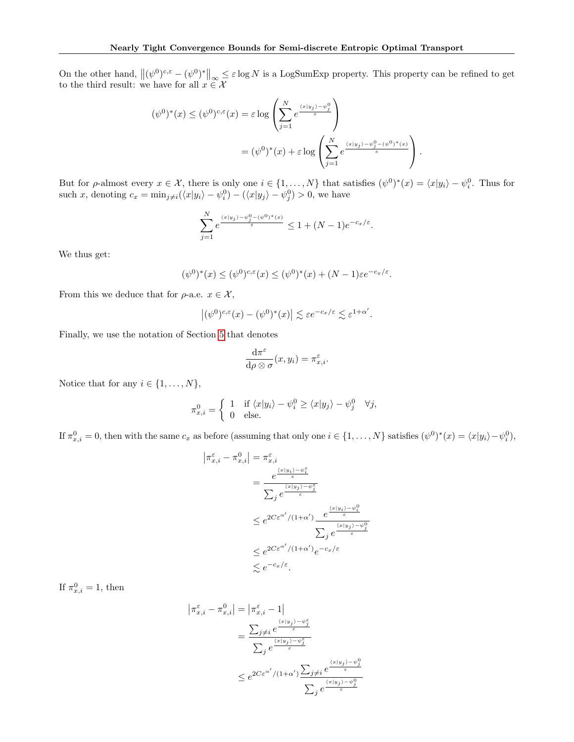On the other hand,  $\|(\psi^0)^{c,\varepsilon} - (\psi^0)^*\|_{\infty} \leq \varepsilon \log N$  is a LogSumExp property. This property can be refined to get to the third result: we have for all  $x \in \mathcal{X}$ 

$$
(\psi^0)^*(x) \le (\psi^0)^{c,\varepsilon}(x) = \varepsilon \log \left( \sum_{j=1}^N e^{\frac{\langle x|y_j \rangle - \psi_j^0}{\varepsilon}} \right)
$$
  
= 
$$
(\psi^0)^*(x) + \varepsilon \log \left( \sum_{j=1}^N e^{\frac{\langle x|y_j \rangle - \psi_j^0 - (\psi^0)^*(x)}{\varepsilon}} \right).
$$

But for  $\rho$ -almost every  $x \in \mathcal{X}$ , there is only one  $i \in \{1, ..., N\}$  that satisfies  $(\psi^0)^*(x) = \langle x | y_i \rangle - \psi_i^0$ . Thus for such x, denoting  $c_x = \min_{j \neq i} (\langle x | y_i \rangle - \psi_i^0) - (\langle x | y_j \rangle - \psi_j^0) > 0$ , we have

$$
\sum_{j=1}^N e^{\frac{\langle x|y_j\rangle - \psi_j^0 - (\psi^0)^*(x)}{\varepsilon}} \le 1 + (N-1)e^{-c_x/\varepsilon}.
$$

We thus get:

$$
(\psi^0)^*(x) \le (\psi^0)^{c,\varepsilon}(x) \le (\psi^0)^*(x) + (N-1)\varepsilon e^{-c_x/\varepsilon}.
$$

From this we deduce that for  $\rho$ -a.e.  $x \in \mathcal{X}$ ,

$$
|(\psi^0)^{c,\varepsilon}(x)-(\psi^0)^*(x)| \lesssim \varepsilon e^{-c_x/\varepsilon} \lesssim \varepsilon^{1+\alpha'}.
$$

Finally, we use the notation of Section [5](#page-6-0) that denotes

$$
\frac{\mathrm{d}\pi^{\varepsilon}}{\mathrm{d}\rho\otimes\sigma}(x,y_i)=\pi^{\varepsilon}_{x,i}.
$$

Notice that for any  $i \in \{1, \ldots, N\},\$ 

$$
\pi_{x,i}^0 = \begin{cases} 1 & \text{if } \langle x|y_i \rangle - \psi_i^0 \ge \langle x|y_j \rangle - \psi_j^0 & \forall j, \\ 0 & \text{else.} \end{cases}
$$

If  $\pi_{x,i}^0 = 0$ , then with the same  $c_x$  as before (assuming that only one  $i \in \{1, \ldots, N\}$  satisfies  $(\psi^0)^*(x) = \langle x|y_i \rangle - \psi_i^0$ ),

$$
|\pi_{x,i}^{\varepsilon} - \pi_{x,i}^0| = \pi_{x,i}^{\varepsilon}
$$
  
\n
$$
= \frac{e^{\frac{\langle x|y_i\rangle - \psi_i^{\varepsilon}}{\varepsilon}}}{\sum_j e^{\frac{\langle x|y_j\rangle - \psi_j^{\varepsilon}}{\varepsilon}}}
$$
  
\n
$$
\leq e^{2C\varepsilon^{\alpha'}/(1+\alpha')}\frac{e^{\frac{\langle x|y_i\rangle - \psi_i^0}{\varepsilon}}}{\sum_j e^{\frac{\langle x|y_j\rangle - \psi_j^0}{\varepsilon}}}
$$
  
\n
$$
\leq e^{2C\varepsilon^{\alpha'}/(1+\alpha')}e^{-c_x/\varepsilon}
$$
  
\n
$$
\leq e^{-c_x/\varepsilon}.
$$

If  $\pi_{x,i}^0 = 1$ , then

$$
|\pi_{x,i}^{\varepsilon} - \pi_{x,i}^{0}| = |\pi_{x,i}^{\varepsilon} - 1|
$$
  

$$
= \frac{\sum_{j \neq i} e^{\frac{\langle x | y_j \rangle - \psi_j^{\varepsilon}}{\varepsilon}}}{\sum_{j} e^{\frac{\langle x | y_j \rangle - \psi_j^{\varepsilon}}{\varepsilon}}}
$$
  

$$
\leq e^{2C \varepsilon^{\alpha'} / (1 + \alpha')} \frac{\sum_{j \neq i} e^{\frac{\langle x | y_j \rangle - \psi_j^0}{\varepsilon}}}{\sum_{j} e^{\frac{\langle x | y_j \rangle - \psi_j^0}{\varepsilon}}}
$$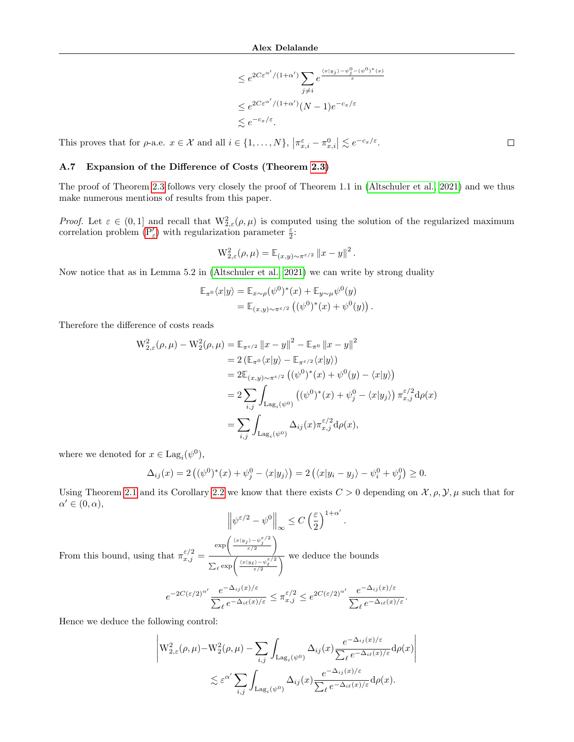$$
\leq e^{2C\varepsilon^{\alpha'}/(1+\alpha')}\sum_{j\neq i}e^{\frac{\langle x|y_j\rangle - \psi_j^0 - (\psi^0)^*(x)}{\varepsilon}}
$$
  

$$
\leq e^{2C\varepsilon^{\alpha'}/(1+\alpha')}(N-1)e^{-c_x/\varepsilon}
$$
  

$$
\lesssim e^{-c_x/\varepsilon}.
$$

This proves that for  $\rho$ -a.e.  $x \in \mathcal{X}$  and all  $i \in \{1, ..., N\}$ ,  $\left|\pi_{x,i}^{\varepsilon} - \pi_{x,i}^0\right| \lesssim e^{-c_x/\varepsilon}$ .

## <span id="page-20-0"></span>A.7 Expansion of the Difference of Costs (Theorem [2.3\)](#page-3-1)

The proof of Theorem [2.3](#page-3-1) follows very closely the proof of Theorem 1.1 in [\(Altschuler et al., 2021\)](#page-8-7) and we thus make numerous mentions of results from this paper.

Proof. Let  $\varepsilon \in (0,1]$  and recall that  $\mathcal{W}_{2,\varepsilon}^2(\rho,\mu)$  is computed using the solution of the regularized maximum correlation problem  $(\mathbf{P}_\varepsilon')$  with regularization parameter  $\frac{\varepsilon}{2}$ :

$$
W_{2,\varepsilon}^{2}(\rho,\mu) = \mathbb{E}_{(x,y)\sim\pi^{\varepsilon/2}} \|x-y\|^{2}
$$

.

Now notice that as in Lemma 5.2 in [\(Altschuler et al., 2021\)](#page-8-7) we can write by strong duality

$$
\mathbb{E}_{\pi^0}\langle x|y\rangle = \mathbb{E}_{x\sim\rho}(\psi^0)^*(x) + \mathbb{E}_{y\sim\mu}\psi^0(y)
$$
  
= 
$$
\mathbb{E}_{(x,y)\sim\pi^{\varepsilon/2}}\left((\psi^0)^*(x) + \psi^0(y)\right).
$$

Therefore the difference of costs reads

$$
W_{2,\varepsilon}^{2}(\rho,\mu) - W_{2}^{2}(\rho,\mu) = \mathbb{E}_{\pi^{\varepsilon/2}} \|x - y\|^{2} - \mathbb{E}_{\pi^{0}} \|x - y\|^{2}
$$
  
\n
$$
= 2 (\mathbb{E}_{\pi^{0}} \langle x|y\rangle - \mathbb{E}_{\pi^{\varepsilon/2}} \langle x|y\rangle)
$$
  
\n
$$
= 2 \mathbb{E}_{(x,y)\sim \pi^{\varepsilon/2}} ((\psi^{0})^{*}(x) + \psi^{0}(y) - \langle x|y\rangle)
$$
  
\n
$$
= 2 \sum_{i,j} \int_{\text{Lag}_{i}(\psi^{0})} ((\psi^{0})^{*}(x) + \psi_{j}^{0} - \langle x|y_{j}\rangle) \pi_{x,j}^{\varepsilon/2} d\rho(x)
$$
  
\n
$$
= \sum_{i,j} \int_{\text{Lag}_{i}(\psi^{0})} \Delta_{ij}(x) \pi_{x,j}^{\varepsilon/2} d\rho(x),
$$

where we denoted for  $x \in \text{Lag}_i(\psi^0)$ ,

$$
\Delta_{ij}(x) = 2\left( (\psi^0)^*(x) + \psi_j^0 - \langle x|y_j \rangle \right) = 2\left( \langle x|y_i - y_j \rangle - \psi_i^0 + \psi_j^0 \right) \ge 0.
$$

Using Theorem [2.1](#page-2-1) and its Corollary [2.2](#page-3-0) we know that there exists  $C > 0$  depending on  $\mathcal{X}, \rho, \mathcal{Y}, \mu$  such that for  $\alpha' \in (0, \alpha),$ 

$$
\left\| \psi^{\varepsilon/2} - \psi^0 \right\|_{\infty} \le C \left( \frac{\varepsilon}{2} \right)^{1+\alpha'}.
$$

From this bound, using that  $\pi_{x,j}^{\varepsilon/2} =$  $\exp\left(\frac{\langle x|y_j\rangle - \psi_j^{\varepsilon/2}}{\varepsilon/2}\right)$  $\sum_{\ell} \exp \left( \frac{\langle x|y_{\ell}\rangle - \psi_{\ell}^{\varepsilon/2}}{\varepsilon/2} \right)$  $\overline{\wedge}$  we deduce the bounds

$$
e^{-2C(\varepsilon/2)^{\alpha'}}\frac{e^{-\Delta_{ij}(x)/\varepsilon}}{\sum_\ell e^{-\Delta_{i\ell}(x)/\varepsilon}}\leq \pi_{x,j}^{\varepsilon/2}\leq e^{2C(\varepsilon/2)^{\alpha'}}\frac{e^{-\Delta_{ij}(x)/\varepsilon}}{\sum_\ell e^{-\Delta_{i\ell}(x)/\varepsilon}}.
$$

Hence we deduce the following control:

$$
\left| \mathcal{W}_{2,\varepsilon}^{2}(\rho,\mu) - \mathcal{W}_{2}^{2}(\rho,\mu) - \sum_{i,j} \int_{\text{Lag}_{i}(\psi^{0})} \Delta_{ij}(x) \frac{e^{-\Delta_{ij}(x)/\varepsilon}}{\sum_{\ell} e^{-\Delta_{i\ell}(x)/\varepsilon}} d\rho(x) \right|
$$
  

$$
\lesssim \varepsilon^{\alpha'} \sum_{i,j} \int_{\text{Lag}_{i}(\psi^{0})} \Delta_{ij}(x) \frac{e^{-\Delta_{ij}(x)/\varepsilon}}{\sum_{\ell} e^{-\Delta_{i\ell}(x)/\varepsilon}} d\rho(x).
$$

 $\Box$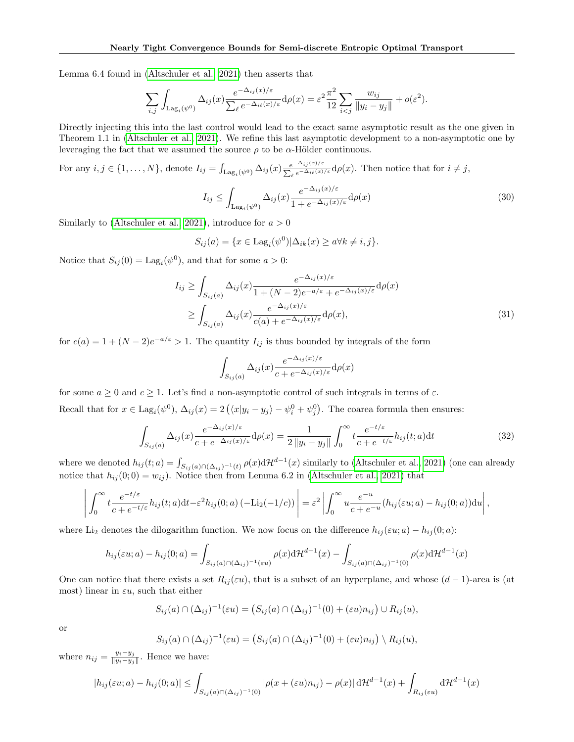Lemma 6.4 found in [\(Altschuler et al., 2021\)](#page-8-7) then asserts that

$$
\sum_{i,j} \int_{\text{Lag}_i(\psi^0)} \Delta_{ij}(x) \frac{e^{-\Delta_{ij}(x)/\varepsilon}}{\sum_{\ell} e^{-\Delta_{i\ell}(x)/\varepsilon}} d\rho(x) = \varepsilon^2 \frac{\pi^2}{12} \sum_{i < j} \frac{w_{ij}}{\|y_i - y_j\|} + o(\varepsilon^2).
$$

Directly injecting this into the last control would lead to the exact same asymptotic result as the one given in Theorem 1.1 in [\(Altschuler et al., 2021\)](#page-8-7). We refine this last asymptotic development to a non-asymptotic one by leveraging the fact that we assumed the source  $\rho$  to be  $\alpha$ -Hölder continuous.

For any  $i, j \in \{1, ..., N\}$ , denote  $I_{ij} = \int_{\text{Lag}_i(\psi^0)} \Delta_{ij}(x) \frac{e^{-\Delta_{ij}(x)/\varepsilon}}{\sum_{\ell} e^{-\Delta_{i\ell}(x)}}$  $\frac{e^{-\Delta_{ij}(x)/\epsilon}}{\sum_{\ell} e^{-\Delta_{i\ell}(x)/\epsilon}} d\rho(x)$ . Then notice that for  $i \neq j$ ,

$$
I_{ij} \le \int_{\text{Lag}_i(\psi^0)} \Delta_{ij}(x) \frac{e^{-\Delta_{ij}(x)/\varepsilon}}{1 + e^{-\Delta_{ij}(x)/\varepsilon}} d\rho(x) \tag{30}
$$

Similarly to [\(Altschuler et al., 2021\)](#page-8-7), introduce for  $a > 0$ 

$$
S_{ij}(a) = \{x \in \text{Lag}_i(\psi^0) | \Delta_{ik}(x) \ge a \forall k \ne i, j\}.
$$

Notice that  $S_{ij}(0) = \text{Lag}_i(\psi^0)$ , and that for some  $a > 0$ :

$$
I_{ij} \ge \int_{S_{ij}(a)} \Delta_{ij}(x) \frac{e^{-\Delta_{ij}(x)/\varepsilon}}{1 + (N-2)e^{-a/\varepsilon} + e^{-\Delta_{ij}(x)/\varepsilon}} d\rho(x)
$$
  

$$
\ge \int_{S_{ij}(a)} \Delta_{ij}(x) \frac{e^{-\Delta_{ij}(x)/\varepsilon}}{c(a) + e^{-\Delta_{ij}(x)/\varepsilon}} d\rho(x),
$$
 (31)

for  $c(a) = 1 + (N-2)e^{-a/\epsilon} > 1$ . The quantity  $I_{ij}$  is thus bounded by integrals of the form

$$
\int_{S_{ij}(a)} \Delta_{ij}(x) \frac{e^{-\Delta_{ij}(x)/\varepsilon}}{c + e^{-\Delta_{ij}(x)/\varepsilon}} d\rho(x)
$$

for some  $a \geq 0$  and  $c \geq 1$ . Let's find a non-asymptotic control of such integrals in terms of  $\varepsilon$ . Recall that for  $x \in \text{Lag}_i(\psi^0)$ ,  $\Delta_{ij}(x) = 2(\langle x|y_i - y_j \rangle - \psi_i^0 + \psi_j^0)$ . The coarea formula then ensures:

$$
\int_{S_{ij}(a)} \Delta_{ij}(x) \frac{e^{-\Delta_{ij}(x)/\varepsilon}}{c + e^{-\Delta_{ij}(x)/\varepsilon}} d\rho(x) = \frac{1}{2\|y_i - y_j\|} \int_0^\infty t \frac{e^{-t/\varepsilon}}{c + e^{-t/\varepsilon}} h_{ij}(t; a) dt \tag{32}
$$

where we denoted  $h_{ij}(t; a) = \int_{S_{ij}(a) \cap (\Delta_{ij})^{-1}(t)} \rho(x) d\mathcal{H}^{d-1}(x)$  similarly to [\(Altschuler et al., 2021\)](#page-8-7) (one can already notice that  $h_{ij}(0;0) = w_{ij}$ ). Notice then from Lemma 6.2 in [\(Altschuler et al., 2021\)](#page-8-7) that

$$
\left| \int_0^\infty t \frac{e^{-t/\varepsilon}}{c + e^{-t/\varepsilon}} h_{ij}(t; a) dt - \varepsilon^2 h_{ij}(0; a) \left( -\text{Li}_2(-1/c) \right) \right| = \varepsilon^2 \left| \int_0^\infty u \frac{e^{-u}}{c + e^{-u}} (h_{ij}(\varepsilon u; a) - h_{ij}(0; a)) du \right|,
$$

where Li<sub>2</sub> denotes the dilogarithm function. We now focus on the difference  $h_{ij}(\epsilon u; a) - h_{ij}(0; a)$ :

$$
h_{ij}(\varepsilon u; a) - h_{ij}(0; a) = \int_{S_{ij}(a) \cap (\Delta_{ij})^{-1}(\varepsilon u)} \rho(x) d\mathcal{H}^{d-1}(x) - \int_{S_{ij}(a) \cap (\Delta_{ij})^{-1}(0)} \rho(x) d\mathcal{H}^{d-1}(x)
$$

One can notice that there exists a set  $R_{ij}(\varepsilon u)$ , that is a subset of an hyperplane, and whose  $(d-1)$ -area is (at most) linear in  $\varepsilon u$ , such that either

$$
S_{ij}(a) \cap (\Delta_{ij})^{-1}(\varepsilon u) = (S_{ij}(a) \cap (\Delta_{ij})^{-1}(0) + (\varepsilon u) n_{ij}) \cup R_{ij}(u),
$$

or

$$
S_{ij}(a) \cap (\Delta_{ij})^{-1}(\varepsilon u) = (S_{ij}(a) \cap (\Delta_{ij})^{-1}(0) + (\varepsilon u) n_{ij}) \setminus R_{ij}(u),
$$

where  $n_{ij} = \frac{y_i - y_j}{\|y_i - y_j\|}$  $\frac{y_i-y_j}{\|y_i-y_j\|}$ . Hence we have:

$$
|h_{ij}(\varepsilon u; a) - h_{ij}(0; a)| \leq \int_{S_{ij}(a) \cap (\Delta_{ij})^{-1}(0)} |\rho(x + (\varepsilon u)n_{ij}) - \rho(x)| d\mathcal{H}^{d-1}(x) + \int_{R_{ij}(\varepsilon u)} d\mathcal{H}^{d-1}(x)
$$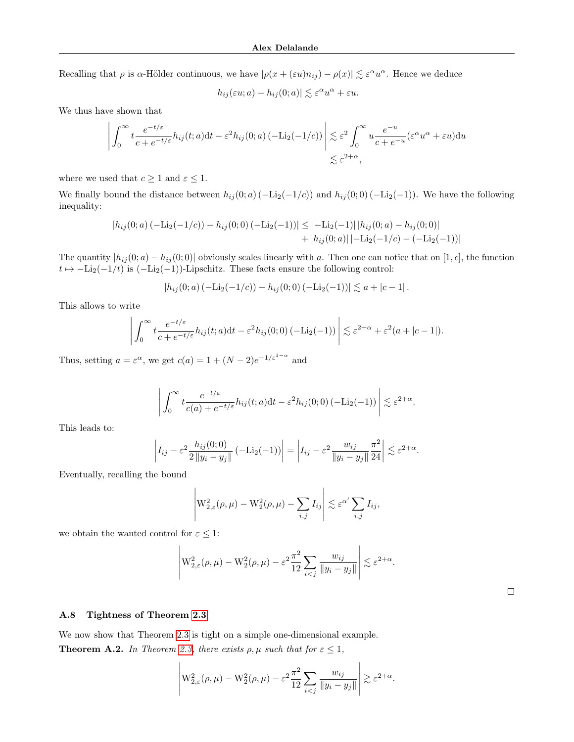Recalling that  $\rho$  is  $\alpha$ -Hölder continuous, we have  $|\rho(x+(\varepsilon u)n_{ij})-\rho(x)| \lesssim \varepsilon^{\alpha}u^{\alpha}$ . Hence we deduce

$$
|h_{ij}(\varepsilon u; a) - h_{ij}(0; a)| \lesssim \varepsilon^{\alpha} u^{\alpha} + \varepsilon u.
$$

We thus have shown that

$$
\left| \int_0^\infty t \frac{e^{-t/\varepsilon}}{c + e^{-t/\varepsilon}} h_{ij}(t; a) dt - \varepsilon^2 h_{ij}(0; a) \left( -\text{Li}_2(-1/c) \right) \right| \lesssim \varepsilon^2 \int_0^\infty u \frac{e^{-u}}{c + e^{-u}} (\varepsilon^{\alpha} u^{\alpha} + \varepsilon u) du
$$
  

$$
\lesssim \varepsilon^{2+\alpha},
$$

where we used that  $c \geq 1$  and  $\varepsilon \leq 1$ .

We finally bound the distance between  $h_{ij}(0; a)(-\text{Li}_2(-1/c))$  and  $h_{ij}(0; 0)(-\text{Li}_2(-1))$ . We have the following inequality:

$$
|h_{ij}(0;a) (-\text{Li}_2(-1/c)) - h_{ij}(0;0) (-\text{Li}_2(-1))| \leq |- \text{Li}_2(-1)| |h_{ij}(0;a) - h_{ij}(0;0)|
$$
  
+ |h\_{ij}(0;a)| |- \text{Li}\_2(-1/c) - (-\text{Li}\_2(-1))|

The quantity  $|h_{ij}(0; a) - h_{ij}(0; 0)|$  obviously scales linearly with a. Then one can notice that on [1, c], the function  $t \mapsto -\text{Li}_2(-1/t)$  is  $(-\text{Li}_2(-1))$ -Lipschitz. These facts ensure the following control:

$$
|h_{ij}(0;a) (-\mathrm{Li}_2(-1/c)) - h_{ij}(0;0) (-\mathrm{Li}_2(-1))| \lesssim a + |c - 1|.
$$

This allows to write

$$
\left| \int_0^\infty t \frac{e^{-t/\varepsilon}}{c + e^{-t/\varepsilon}} h_{ij}(t; a) dt - \varepsilon^2 h_{ij}(0; 0) (-\text{Li}_2(-1)) \right| \lesssim \varepsilon^{2+\alpha} + \varepsilon^2 (a + |c - 1|).
$$

Thus, setting  $a = \varepsilon^{\alpha}$ , we get  $c(a) = 1 + (N-2)e^{-1/\varepsilon^{1-\alpha}}$  and

$$
\left| \int_0^\infty t \frac{e^{-t/\varepsilon}}{c(a) + e^{-t/\varepsilon}} h_{ij}(t; a) dt - \varepsilon^2 h_{ij}(0; 0) (-\text{Li}_2(-1)) \right| \lesssim \varepsilon^{2+\alpha}.
$$

This leads to:

$$
\left| I_{ij} - \varepsilon^2 \frac{h_{ij}(0;0)}{2 \|y_i - y_j\|} \left( -\text{Li}_2(-1) \right) \right| = \left| I_{ij} - \varepsilon^2 \frac{w_{ij}}{\|y_i - y_j\|} \frac{\pi^2}{24} \right| \lesssim \varepsilon^{2+\alpha}.
$$

Eventually, recalling the bound

$$
\left| \mathcal{W}_{2,\varepsilon}^{2}(\rho,\mu) - \mathcal{W}_{2}^{2}(\rho,\mu) - \sum_{i,j} I_{ij} \right| \lesssim \varepsilon^{\alpha'} \sum_{i,j} I_{ij},
$$

we obtain the wanted control for  $\varepsilon \leq 1$ :

$$
\left| \mathcal{W}_{2,\varepsilon}^2(\rho,\mu) - \mathcal{W}_2^2(\rho,\mu) - \varepsilon^2 \frac{\pi^2}{12} \sum_{i < j} \frac{w_{ij}}{\|y_i - y_j\|} \right| \lesssim \varepsilon^{2+\alpha}.
$$

<span id="page-22-0"></span>A.8 Tightness of Theorem [2.3](#page-3-1)

We now show that Theorem [2.3](#page-3-1) is tight on a simple one-dimensional example. **Theorem A.2.** In Theorem [2.3,](#page-3-1) there exists  $\rho, \mu$  such that for  $\varepsilon \leq 1$ ,

$$
\left| \mathcal{W}_{2,\varepsilon}^2(\rho,\mu) - \mathcal{W}_2^2(\rho,\mu) - \varepsilon^2 \frac{\pi^2}{12} \sum_{i < j} \frac{w_{ij}}{\|y_i - y_j\|} \right| \gtrsim \varepsilon^{2+\alpha}.
$$

 $\Box$